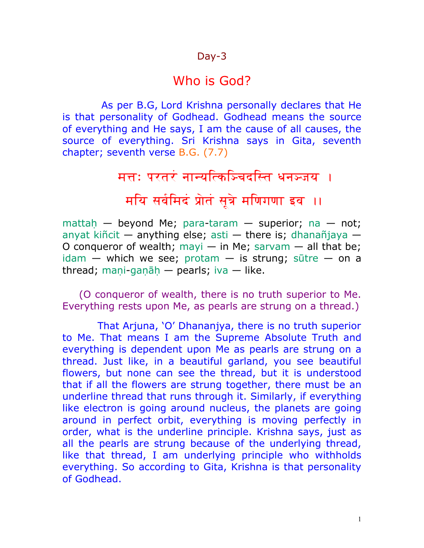#### Day-3

#### Who is God?

 As per B.G, Lord Krishna personally declares that He is that personality of Godhead. Godhead means the source of everything and He says, I am the cause of all causes, the source of everything. Sri Krishna says in Gita, seventh chapter; seventh verse B.G. (7.7)

मत्त: परतरं नान्यत्किञ्चिदस्ति धनञ्जय**ः** 

मयि सर्वमिदं प्रोतं सूत्रे मणिगणा इव ।।

mattah — beyond [Me;](http://vedabase.net/m/me) [para](http://vedabase.net/p/para)[-taram](http://vedabase.net/t/taram) — superior; [na](http://vedabase.net/n/na) — not; [anyat](http://vedabase.net/a/anyat) [kiñcit](http://vedabase.net/k/kincit) — anything else; [asti](http://vedabase.net/a/asti) — there is; [dhanañjaya](http://vedabase.net/d/dhananjaya) — [O](http://vedabase.net/o/o) conqueror of wealth; [mayi](http://vedabase.net/m/mayi)  $-$  [in](http://vedabase.net/i/in) [Me;](http://vedabase.net/m/me) [sarvam](http://vedabase.net/s/sarvam)  $-$  all that be; [idam](http://vedabase.net/i/idam) — which we see; [protam](http://vedabase.net/p/protam) — is strung; [sūtre](http://vedabase.net/s/sutre) — on [a](http://vedabase.net/a/a) thread; mani-ganāh — pearls; [iva](http://vedabase.net/i/iva) — like.

(O conqueror of wealth, there is no truth superior to Me. Everything rests upon Me, as pearls are strung on a thread.)

 That Arjuna, 'O' Dhananjya, there is no truth superior to Me. That means I am the Supreme Absolute Truth and everything is dependent upon Me as pearls are strung on a thread. Just like, in a beautiful garland, you see beautiful flowers, but none can see the thread, but it is understood that if all the flowers are strung together, there must be an underline thread that runs through it. Similarly, if everything like electron is going around nucleus, the planets are going around in perfect orbit, everything is moving perfectly in order, what is the underline principle. Krishna says, just as all the pearls are strung because of the underlying thread, like that thread, I am underlying principle who withholds everything. So according to Gita, Krishna is that personality of Godhead.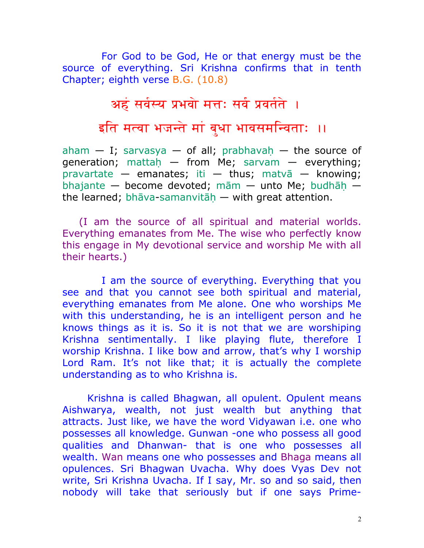For God to be God, He or that energy must be the source of everything. Sri Krishna confirms that in tenth Chapter; eighth verse B.G. (10.8)

#### अहं सर्वस्य प्रभवो मत्तः सर्वं प्रवर्तते ।

इति मत्वा भजन्ते मां बुधा भावसमन्विताः ॥

[aham](http://vedabase.net/a/aham)  $-$  [I;](http://vedabase.net/i/i) [sarvasya](http://vedabase.net/s/sarvasya)  $-$  of all; prabhavah  $-$  the source of generation; mattah — from [Me;](http://vedabase.net/m/me) [sarvam](http://vedabase.net/s/sarvam) — everything; [pravartate](http://vedabase.net/p/pravartate) — emanates; [iti](http://vedabase.net/i/iti) — thus; [matvā](http://vedabase.net/m/matva) — knowing; [bhajante](http://vedabase.net/b/bhajante) — become devoted; [mām](http://vedabase.net/m/mam) — unto [Me;](http://vedabase.net/m/me) budhāh the learned; [bhāva-](http://vedabase.net/b/bhava)samanvitāh  $-$  with great attention.

(I am the source of all spiritual and material worlds. Everything emanates from Me. The wise who perfectly know this engage in My devotional service and worship Me with all their hearts.)

 I am the source of everything. Everything that you see and that you cannot see both spiritual and material, everything emanates from Me alone. One who worships Me with this understanding, he is an intelligent person and he knows things as it is. So it is not that we are worshiping Krishna sentimentally. I like playing flute, therefore I worship Krishna. I like bow and arrow, that's why I worship Lord Ram. It's not like that; it is actually the complete understanding as to who Krishna is.

Krishna is called Bhagwan, all opulent. Opulent means Aishwarya, wealth, not just wealth but anything that attracts. Just like, we have the word Vidyawan i.e. one who possesses all knowledge. Gunwan -one who possess all good qualities and Dhanwan- that is one who possesses all wealth. Wan means one who possesses and Bhaga means all opulences. Sri Bhagwan Uvacha. Why does Vyas Dev not write, Sri Krishna Uvacha. If I say, Mr. so and so said, then nobody will take that seriously but if one says Prime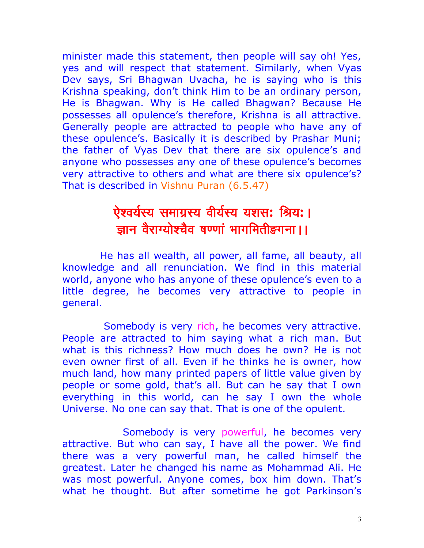minister made this statement, then people will say oh! Yes, yes and will respect that statement. Similarly, when Vyas Dev says, Sri Bhagwan Uvacha, he is saying who is this Krishna speaking, don't think Him to be an ordinary person, He is Bhagwan. Why is He called Bhagwan? Because He possesses all opulence's therefore, Krishna is all attractive. Generally people are attracted to people who have any of these opulence's. Basically it is described by Prashar Muni; the father of Vyas Dev that there are six opulence's and anyone who possesses any one of these opulence's becomes very attractive to others and what are there six opulence's? That is described in Vishnu Puran (6.5.47)

#### ऐश्वर्यस्य समाग्रस्य वीर्यस्य यशस: श्रिय:। ज्ञान वैराग्योश्चैव षण्णां भागमितीङगना ।।

 He has all wealth, all power, all fame, all beauty, all knowledge and all renunciation. We find in this material world, anyone who has anyone of these opulence's even to a little degree, he becomes very attractive to people in general.

 Somebody is very rich, he becomes very attractive. People are attracted to him saying what a rich man. But what is this richness? How much does he own? He is not even owner first of all. Even if he thinks he is owner, how much land, how many printed papers of little value given by people or some gold, that's all. But can he say that I own everything in this world, can he say I own the whole Universe. No one can say that. That is one of the opulent.

 Somebody is very powerful, he becomes very attractive. But who can say, I have all the power. We find there was a very powerful man, he called himself the greatest. Later he changed his name as Mohammad Ali. He was most powerful. Anyone comes, box him down. That's what he thought. But after sometime he got Parkinson's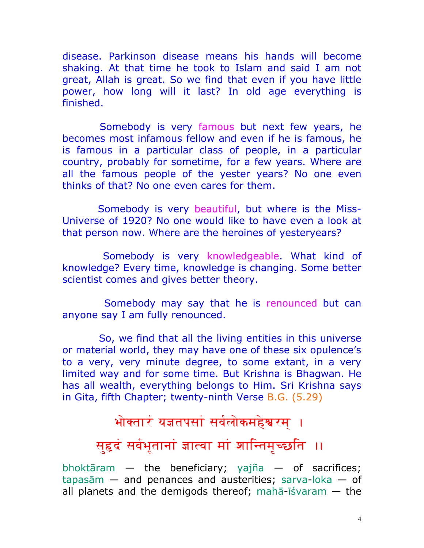disease. Parkinson disease means his hands will become shaking. At that time he took to Islam and said I am not great, Allah is great. So we find that even if you have little power, how long will it last? In old age everything is finished.

 Somebody is very famous but next few years, he becomes most infamous fellow and even if he is famous, he is famous in a particular class of people, in a particular country, probably for sometime, for a few years. Where are all the famous people of the yester years? No one even thinks of that? No one even cares for them.

 Somebody is very beautiful, but where is the Miss-Universe of 1920? No one would like to have even a look at that person now. Where are the heroines of yesteryears?

 Somebody is very knowledgeable. What kind of knowledge? Every time, knowledge is changing. Some better scientist comes and gives better theory.

 Somebody may say that he is renounced but can anyone say I am fully renounced.

 So, we find that all the living entities in this universe or material world, they may have one of these six opulence's to a very, very minute degree, to some extant, in a very limited way and for some time. But Krishna is Bhagwan. He has all wealth, everything belongs to Him. Sri Krishna says in Gita, fifth Chapter; twenty-ninth Verse B.G. (5.29)

#### भोक्तारं यज्ञतपसां सर्वलोकमहेश्वरम् ।

# सुहृदं सर्वभूतानां ज्ञात्वा मां शान्तिमृच्छति ।।

[bhoktāram](http://bhagavadgitaasitis.com/b/bhoktaram)  $-$  the beneficiary; [yajña](http://bhagavadgitaasitis.com/y/yajna)  $-$  of sacrifices; [tapasām](http://bhagavadgitaasitis.com/t/tapasam) — and penances and austerities; [sarva](http://bhagavadgitaasitis.com/s/sarva)[-loka](http://bhagavadgitaasitis.com/l/loka) — of all planets and the demigods thereof; maha- $\overline{i}$ svaram  $-$  the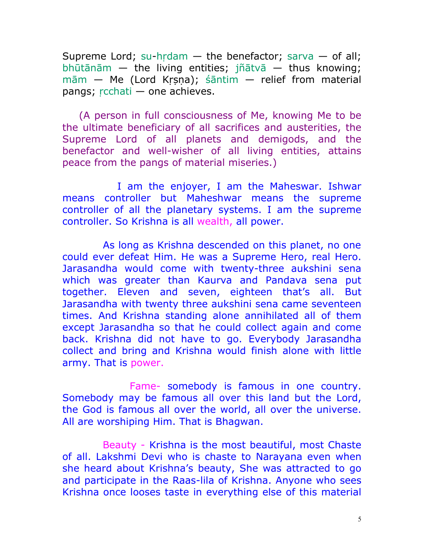Supreme Lord; [su](http://bhagavadgitaasitis.com/s/su)-hrdam  $-$  the benefactor; [sarva](http://bhagavadgitaasitis.com/s/sarva)  $-$  of all; [bhūtānām](http://bhagavadgitaasitis.com/b/bhutanam) — the living entities; [jñātvā](http://bhagavadgitaasitis.com/j/jnatva) — thus knowing;  $m\bar{a}m$  — [Me](http://bhagavadgitaasitis.com/m/me) (Lord Krsna); [śāntim](http://bhagavadgitaasitis.com/s/santim) — relief from material pangs;  $r$ cchati — one achieves.

(A person in full consciousness of Me, knowing Me to be the ultimate beneficiary of all sacrifices and austerities, the Supreme Lord of all planets and demigods, and the benefactor and well-wisher of all living entities, attains peace from the pangs of material miseries.)

 I am the enjoyer, I am the Maheswar. Ishwar means controller but Maheshwar means the supreme controller of all the planetary systems. I am the supreme controller. So Krishna is all wealth, all power.

 As long as Krishna descended on this planet, no one could ever defeat Him. He was a Supreme Hero, real Hero. Jarasandha would come with twenty-three aukshini sena which was greater than Kaurva and Pandava sena put together. Eleven and seven, eighteen that's all. But Jarasandha with twenty three aukshini sena came seventeen times. And Krishna standing alone annihilated all of them except Jarasandha so that he could collect again and come back. Krishna did not have to go. Everybody Jarasandha collect and bring and Krishna would finish alone with little army. That is power.

 Fame- somebody is famous in one country. Somebody may be famous all over this land but the Lord, the God is famous all over the world, all over the universe. All are worshiping Him. That is Bhagwan.

 Beauty - Krishna is the most beautiful, most Chaste of all. Lakshmi Devi who is chaste to Narayana even when she heard about Krishna's beauty, She was attracted to go and participate in the Raas-lila of Krishna. Anyone who sees Krishna once looses taste in everything else of this material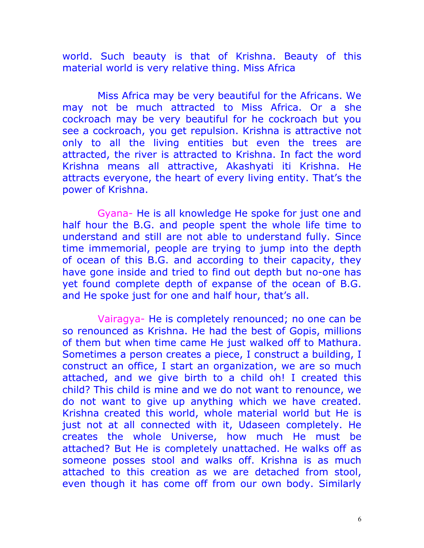world. Such beauty is that of Krishna. Beauty of this material world is very relative thing. Miss Africa

 Miss Africa may be very beautiful for the Africans. We may not be much attracted to Miss Africa. Or a she cockroach may be very beautiful for he cockroach but you see a cockroach, you get repulsion. Krishna is attractive not only to all the living entities but even the trees are attracted, the river is attracted to Krishna. In fact the word Krishna means all attractive, Akashyati iti Krishna. He attracts everyone, the heart of every living entity. That's the power of Krishna.

 Gyana- He is all knowledge He spoke for just one and half hour the B.G. and people spent the whole life time to understand and still are not able to understand fully. Since time immemorial, people are trying to jump into the depth of ocean of this B.G. and according to their capacity, they have gone inside and tried to find out depth but no-one has yet found complete depth of expanse of the ocean of B.G. and He spoke just for one and half hour, that's all.

 Vairagya- He is completely renounced; no one can be so renounced as Krishna. He had the best of Gopis, millions of them but when time came He just walked off to Mathura. Sometimes a person creates a piece, I construct a building, I construct an office, I start an organization, we are so much attached, and we give birth to a child oh! I created this child? This child is mine and we do not want to renounce, we do not want to give up anything which we have created. Krishna created this world, whole material world but He is just not at all connected with it, Udaseen completely. He creates the whole Universe, how much He must be attached? But He is completely unattached. He walks off as someone posses stool and walks off. Krishna is as much attached to this creation as we are detached from stool, even though it has come off from our own body. Similarly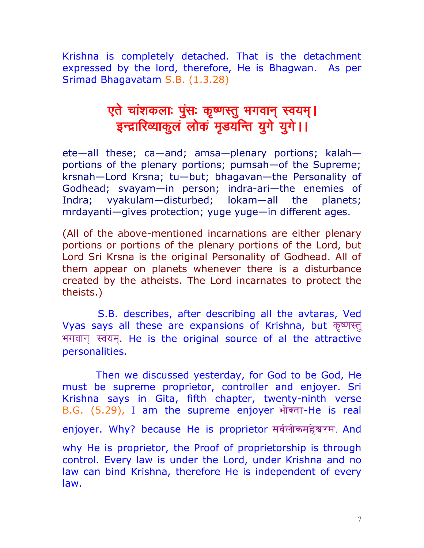Krishna is completely detached. That is the detachment expressed by the lord, therefore, He is Bhagwan. As per Srimad Bhagavatam S.B. (1.3.28)

#### एते चांशकलाः पुंसः कृष्णस्तु भगवान् स्वयम्। इन्द्रारिव्याकुलं लोकं मृडयन्ति युगे युगे।।

ete—all these; ca—and; amsa—plenary portions; kalah portions of the plenary portions; pumsah—of the Supreme; krsnah—Lord Krsna; tu—but; bhagavan—the Personality of Godhead; svayam—in person; indra-ari—the enemies of Indra; vyakulam—disturbed; lokam—all the planets; mrdayanti-gives protection; yuge yuge-in different ages.

(All of the above-mentioned incarnations are either plenary portions or portions of the plenary portions of the Lord, but Lord Sri Krsna is the original Personality of Godhead. All of them appear on planets whenever there is a disturbance created by the atheists. The Lord incarnates to protect the theists.)

 S.B. describes, after describing all the avtaras, Ved Vyas says all these are expansions of Krishna, but कृष्णस्त् भगवान स्वयम. He is the original source of al the attractive personalities.

 Then we discussed yesterday, for God to be God, He must be supreme proprietor, controller and enjoyer. Sri Krishna says in Gita, fifth chapter, twenty-ninth verse B.G. (5.29), I am the supreme enjoyer भोक्ता-He is real enjoyer. Why? because He is proprietor सर्वलोकमहेश्वरम. And why He is proprietor, the Proof of proprietorship is through control. Every law is under the Lord, under Krishna and no law can bind Krishna, therefore He is independent of every law.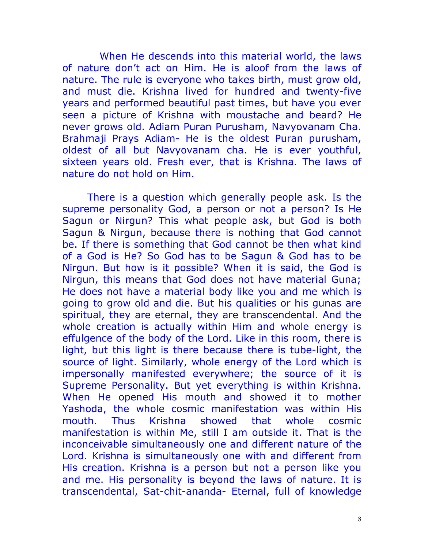When He descends into this material world, the laws of nature don't act on Him. He is aloof from the laws of nature. The rule is everyone who takes birth, must grow old, and must die. Krishna lived for hundred and twenty-five years and performed beautiful past times, but have you ever seen a picture of Krishna with moustache and beard? He never grows old. Adiam Puran Purusham, Navyovanam Cha. Brahmaji Prays Adiam- He is the oldest Puran purusham, oldest of all but Navyovanam cha. He is ever youthful, sixteen years old. Fresh ever, that is Krishna. The laws of nature do not hold on Him.

There is a question which generally people ask. Is the supreme personality God, a person or not a person? Is He Sagun or Nirgun? This what people ask, but God is both Sagun & Nirgun, because there is nothing that God cannot be. If there is something that God cannot be then what kind of a God is He? So God has to be Sagun & God has to be Nirgun. But how is it possible? When it is said, the God is Nirgun, this means that God does not have material Guna; He does not have a material body like you and me which is going to grow old and die. But his qualities or his gunas are spiritual, they are eternal, they are transcendental. And the whole creation is actually within Him and whole energy is effulgence of the body of the Lord. Like in this room, there is light, but this light is there because there is tube-light, the source of light. Similarly, whole energy of the Lord which is impersonally manifested everywhere; the source of it is Supreme Personality. But yet everything is within Krishna. When He opened His mouth and showed it to mother Yashoda, the whole cosmic manifestation was within His mouth. Thus Krishna showed that whole cosmic manifestation is within Me, still I am outside it. That is the inconceivable simultaneously one and different nature of the Lord. Krishna is simultaneously one with and different from His creation. Krishna is a person but not a person like you and me. His personality is beyond the laws of nature. It is transcendental, Sat-chit-ananda- Eternal, full of knowledge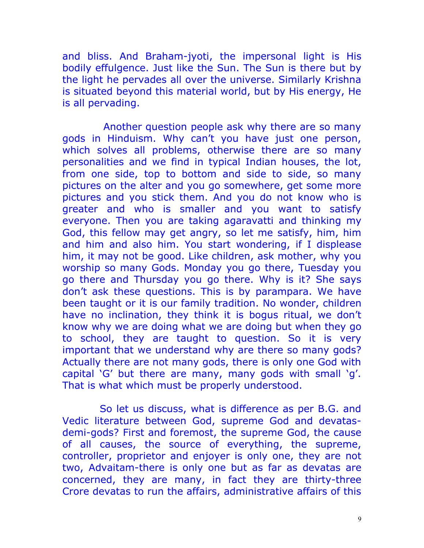and bliss. And Braham-jyoti, the impersonal light is His bodily effulgence. Just like the Sun. The Sun is there but by the light he pervades all over the universe. Similarly Krishna is situated beyond this material world, but by His energy, He is all pervading.

 Another question people ask why there are so many gods in Hinduism. Why can't you have just one person, which solves all problems, otherwise there are so many personalities and we find in typical Indian houses, the lot, from one side, top to bottom and side to side, so many pictures on the alter and you go somewhere, get some more pictures and you stick them. And you do not know who is greater and who is smaller and you want to satisfy everyone. Then you are taking agaravatti and thinking my God, this fellow may get angry, so let me satisfy, him, him and him and also him. You start wondering, if I displease him, it may not be good. Like children, ask mother, why you worship so many Gods. Monday you go there, Tuesday you go there and Thursday you go there. Why is it? She says don't ask these questions. This is by parampara. We have been taught or it is our family tradition. No wonder, children have no inclination, they think it is bogus ritual, we don't know why we are doing what we are doing but when they go to school, they are taught to question. So it is very important that we understand why are there so many gods? Actually there are not many gods, there is only one God with capital 'G' but there are many, many gods with small 'g'. That is what which must be properly understood.

 So let us discuss, what is difference as per B.G. and Vedic literature between God, supreme God and devatasdemi-gods? First and foremost, the supreme God, the cause of all causes, the source of everything, the supreme, controller, proprietor and enjoyer is only one, they are not two, Advaitam-there is only one but as far as devatas are concerned, they are many, in fact they are thirty-three Crore devatas to run the affairs, administrative affairs of this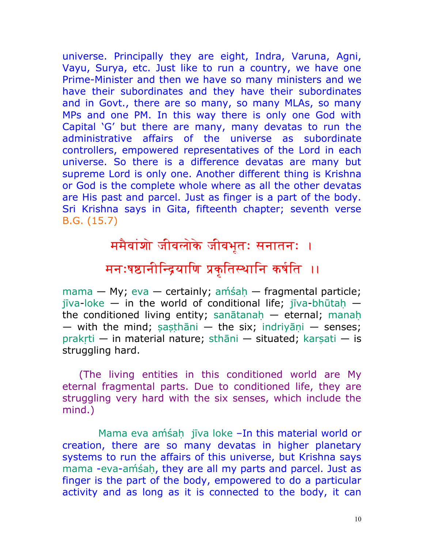universe. Principally they are eight, Indra, Varuna, Agni, Vayu, Surya, etc. Just like to run a country, we have one Prime-Minister and then we have so many ministers and we have their subordinates and they have their subordinates and in Govt., there are so many, so many MLAs, so many MPs and one PM. In this way there is only one God with Capital 'G' but there are many, many devatas to run the administrative affairs of the universe as subordinate controllers, empowered representatives of the Lord in each universe. So there is a difference devatas are many but supreme Lord is only one. Another different thing is Krishna or God is the complete whole where as all the other devatas are His past and parcel. Just as finger is a part of the body. Sri Krishna says in Gita, fifteenth chapter; seventh verse B.G. (15.7)

> ममैवांशो जीवलोके जीवभूतः सनातनः । मनःषष्ठानीन्द्रियाणि प्रकृतिस्थानि कर्षति ।।

[mama](http://vedabase.net/m/mama) — My; [eva](http://vedabase.net/e/eva) — certainly; am<sup>'sah</sup> — fragmental particle; [jīva](http://vedabase.net/j/jiva)[-loke](http://vedabase.net/l/loke) — [in](http://vedabase.net/i/in) the world of conditional life; [jīva](http://vedabase.net/j/jiva)-bhūtah the conditioned living entity; sanātanah — eternal; [manah](http://vedabase.net/m/manah) — with the mind; sasthāni — the six; indriyāni — senses; prakrti — [in](http://vedabase.net/i/in) material nature; [sthāni](http://vedabase.net/s/sthani) — situated; karsati — is struggling hard.

(The living entities in this conditioned world are My eternal fragmental parts. Due to conditioned life, they are struggling very hard with the six senses, which include the mind.)

[Mama](http://vedabase.net/m/mama) [eva](http://vedabase.net/e/eva) amśah [jīva](http://vedabase.net/j/jiva) [loke](http://vedabase.net/l/loke) -In this material world or creation, there are so many devatas in higher planetary systems to run the affairs of this universe, but Krishna says [mama](http://vedabase.net/m/mama) [-eva](http://vedabase.net/e/eva)-amsah, they are all my parts and parcel. Just as finger is the part of the body, empowered to do a particular activity and as long as it is connected to the body, it can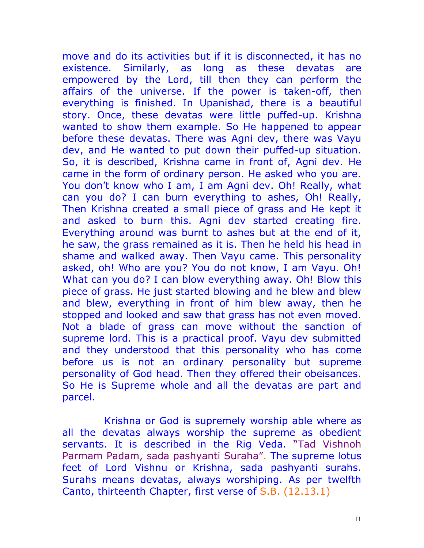move and do its activities but if it is disconnected, it has no existence. Similarly, as long as these devatas are empowered by the Lord, till then they can perform the affairs of the universe. If the power is taken-off, then everything is finished. In Upanishad, there is a beautiful story. Once, these devatas were little puffed-up. Krishna wanted to show them example. So He happened to appear before these devatas. There was Agni dev, there was Vayu dev, and He wanted to put down their puffed-up situation. So, it is described, Krishna came in front of, Agni dev. He came in the form of ordinary person. He asked who you are. You don't know who I am, I am Agni dev. Oh! Really, what can you do? I can burn everything to ashes, Oh! Really, Then Krishna created a small piece of grass and He kept it and asked to burn this. Agni dev started creating fire. Everything around was burnt to ashes but at the end of it, he saw, the grass remained as it is. Then he held his head in shame and walked away. Then Vayu came. This personality asked, oh! Who are you? You do not know, I am Vayu. Oh! What can you do? I can blow everything away. Oh! Blow this piece of grass. He just started blowing and he blew and blew and blew, everything in front of him blew away, then he stopped and looked and saw that grass has not even moved. Not a blade of grass can move without the sanction of supreme lord. This is a practical proof. Vayu dev submitted and they understood that this personality who has come before us is not an ordinary personality but supreme personality of God head. Then they offered their obeisances. So He is Supreme whole and all the devatas are part and parcel.

 Krishna or God is supremely worship able where as all the devatas always worship the supreme as obedient servants. It is described in the Rig Veda. "Tad Vishnoh Parmam Padam, sada pashyanti Suraha". The supreme lotus feet of Lord Vishnu or Krishna, sada pashyanti surahs. Surahs means devatas, always worshiping. As per twelfth Canto, thirteenth Chapter, first verse of S.B. (12.13.1)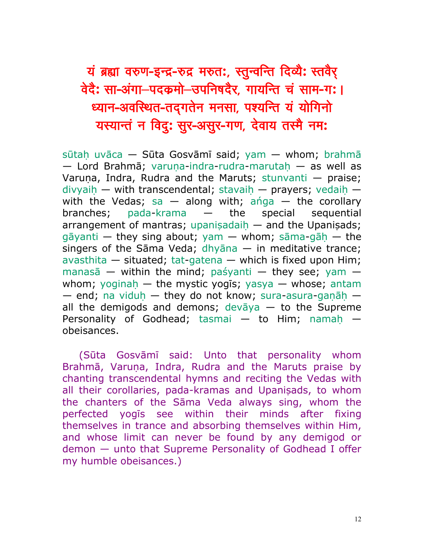## यं ब्रह्मा वरुण-इन्द्र-रुद्र मरुत:, स्तुन्वन्ति दिव्यै: स्तवैर् वेदै: सा-अंगा–पदकमो–उपनिषदैर, गायन्ति चं साम-ग: । ध्यान-अवस्थित-तद्**गतेन मनसा, पश्यन्ति यं योगिनो** यस्यान्तं न विदु: सुर-असुर-गण, देवाय तस्मै नम:

[sūtah,](http://vedabase.net/s/sutah) [uvāca](http://vedabase.net/u/uvaca) — [Sūta](http://vedabase.net/s/suta) Gosvāmī said; [yam](http://vedabase.net/y/yam) — whom; [brahmā](http://vedabase.net/b/brahma)  $-$  Lord [Brahmā;](http://vedabase.net/b/brahma) varuna-[indra](http://vedabase.net/i/indra)[-rudra](http://vedabase.net/r/rudra)-marutah  $-$  [as](http://vedabase.net/a/as) well [as](http://vedabase.net/a/as) Varuna, [Indra,](http://vedabase.net/i/indra) [Rudra](http://vedabase.net/r/rudra) and the Maruts; [stunvanti](http://vedabase.net/s/stunvanti)  $-$  praise; divyaih — with transcendental; stavaih — prayers; vedaih with the Vedas; [sa](http://vedabase.net/s/sa)  $-$  along with; and  $-$  the corollary branches; [pada](http://vedabase.net/p/pada)[-krama](http://vedabase.net/k/krama) — the special sequential arrangement of mantras; upanisadaih  $-$  and the Upanisads; [gāyanti](http://vedabase.net/g/gayanti) — they sing about; [yam](http://vedabase.net/y/yam) — whom; [sāma-](http://vedabase.net/s/sama)gāh — the singers of the [Sāma](http://vedabase.net/s/sama) [Veda;](http://vedabase.net/v/veda) [dhyāna](http://vedabase.net/d/dhyana)  $-$  [in](http://vedabase.net/i/in) meditative trance; [avasthita](http://vedabase.net/a/avasthita) — situated; [tat](http://vedabase.net/t/tat)[-gatena](http://vedabase.net/g/gatena) — which is fixed upon Him; [manasā](http://vedabase.net/m/manasa) — within the mind; [paśyanti](http://vedabase.net/p/pasyanti) — they see; [yam](http://vedabase.net/y/yam)  whom; yoginah — the mystic yogis; [yasya](http://vedabase.net/y/yasya) — whose; [antam](http://vedabase.net/a/antam)  $-$  end; [na](http://vedabase.net/n/na) viduh  $-$  they [do](http://vedabase.net/d/do) not know; [sura](http://vedabase.net/s/sura)[-asura-](http://vedabase.net/a/asura)ganāh  $$ all the demigods and demons; [devāya](http://vedabase.net/d/devaya)  $-$  [to](http://vedabase.net/t/to) the Supreme Personality of Godhead; [tasmai](http://vedabase.net/t/tasmai)  $-$  [to](http://vedabase.net/t/to) Him; namah  $$ obeisances.

[\(Sūta](http://vedabase.net/s/suta) Gosvāmī said: Unto that personality whom [Brahmā,](http://vedabase.net/b/brahma) Varuna, [Indra,](http://vedabase.net/i/indra) [Rudra](http://vedabase.net/r/rudra) and the Maruts praise by chanting transcendental hymns and reciting the Vedas with all their corollaries, [pada-](http://vedabase.net/p/pada)kramas and Upanisads, to whom the chanters of the [Sāma](http://vedabase.net/s/sama) [Veda](http://vedabase.net/v/veda) always sing, whom the perfected yogīs see within their minds after fixing themselves in trance and absorbing themselves within Him, and whose limit can never be found by any demigod or demon — unto that Supreme Personality of Godhead I offer my humble obeisances.)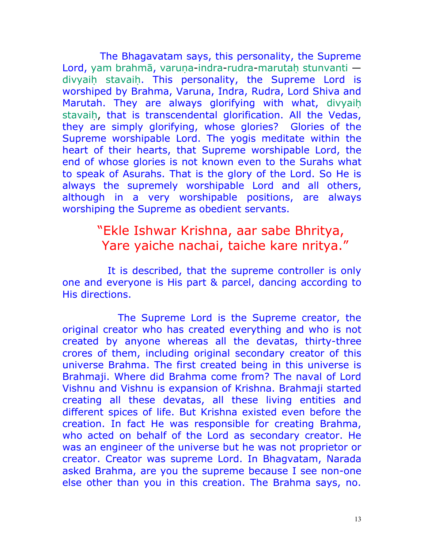The Bhagavatam says, this personality, the Supreme Lord, [yam](http://vedabase.net/y/yam) [brahmā,](http://vedabase.net/b/brahma) varuna[-indra-](http://vedabase.net/i/indra)[rudra-](http://vedabase.net/r/rudra)marutah [stunvanti](http://vedabase.net/s/stunvanti)  divyaih stavaih. This personality, the Supreme Lord is worshiped by Brahma, Varuna, Indra, Rudra, Lord Shiva and Marutah. They are always glorifying with what, [divyaih](http://vedabase.net/d/divyaih) stavaih, that is transcendental glorification. All the Vedas, they are simply glorifying, whose glories? Glories of the Supreme worshipable Lord. The yogis meditate within the heart of their hearts, that Supreme worshipable Lord, the end of whose glories is not known even to the Surahs what to speak of Asurahs. That is the glory of the Lord. So He is always the supremely worshipable Lord and all others, although in a very worshipable positions, are always worshiping the Supreme as obedient servants.

#### "Ekle Ishwar Krishna, aar sabe Bhritya, Yare yaiche nachai, taiche kare nritya."

 It is described, that the supreme controller is only one and everyone is His part & parcel, dancing according to His directions.

 The Supreme Lord is the Supreme creator, the original creator who has created everything and who is not created by anyone whereas all the devatas, thirty-three crores of them, including original secondary creator of this universe Brahma. The first created being in this universe is Brahmaji. Where did Brahma come from? The naval of Lord Vishnu and Vishnu is expansion of Krishna. Brahmaji started creating all these devatas, all these living entities and different spices of life. But Krishna existed even before the creation. In fact He was responsible for creating Brahma, who acted on behalf of the Lord as secondary creator. He was an engineer of the universe but he was not proprietor or creator. Creator was supreme Lord. In Bhagvatam, Narada asked Brahma, are you the supreme because I see non-one else other than you in this creation. The Brahma says, no.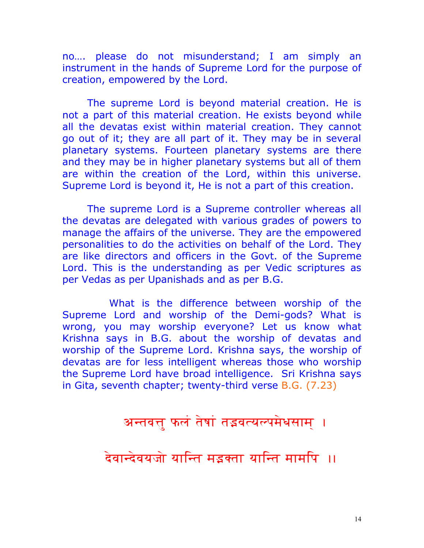no…. please do not misunderstand; I am simply an instrument in the hands of Supreme Lord for the purpose of creation, empowered by the Lord.

The supreme Lord is beyond material creation. He is not a part of this material creation. He exists beyond while all the devatas exist within material creation. They cannot go out of it; they are all part of it. They may be in several planetary systems. Fourteen planetary systems are there and they may be in higher planetary systems but all of them are within the creation of the Lord, within this universe. Supreme Lord is beyond it, He is not a part of this creation.

The supreme Lord is a Supreme controller whereas all the devatas are delegated with various grades of powers to manage the affairs of the universe. They are the empowered personalities to do the activities on behalf of the Lord. They are like directors and officers in the Govt. of the Supreme Lord. This is the understanding as per Vedic scriptures as per Vedas as per Upanishads and as per B.G.

 What is the difference between worship of the Supreme Lord and worship of the Demi-gods? What is wrong, you may worship everyone? Let us know what Krishna says in B.G. about the worship of devatas and worship of the Supreme Lord. Krishna says, the worship of devatas are for less intelligent whereas those who worship the Supreme Lord have broad intelligence. Sri Krishna says in Gita, seventh chapter; twenty-third verse B.G. (7.23)

#### अन्तवत्तु फलं तेषां तद्भवत्यल्पमेधसाम् ।

#### <u>देवान्देवयजो यान्ति मडक्ता यान्ति मामपि ।।</u>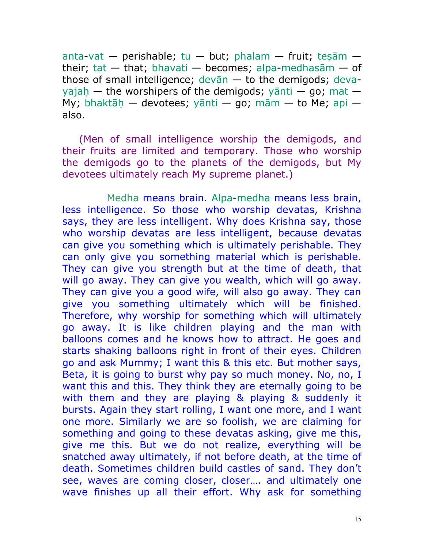[anta-](http://vedabase.net/a/anta)[vat](http://vedabase.net/v/vat) — perishable; [tu](http://vedabase.net/t/tu) — but; [phalam](http://vedabase.net/p/phalam) — fruit; tesām their; [tat](http://vedabase.net/t/tat)  $-$  that; [bhavati](http://vedabase.net/b/bhavati)  $-$  becomes; [alpa-](http://vedabase.net/a/alpa)medhasam  $-$  of those of small intelligence; [devān](http://vedabase.net/d/devan) — [to](http://vedabase.net/t/to) the demigods; [deva](http://vedabase.net/d/deva)vajah — the worshipers of the demigods; vānti — [go;](http://vedabase.net/g/go) [mat](http://vedabase.net/m/mat)  My; bhaktāh — devotees; [yānti](http://vedabase.net/y/yanti) — [go;](http://vedabase.net/g/go) [mām](http://vedabase.net/m/mam) — [to](http://vedabase.net/t/to) [Me;](http://vedabase.net/m/me) [api](http://vedabase.net/a/api)  also.

(Men of small intelligence worship the demigods, and their fruits are limited and temporary. Those who worship the demigods go to the planets of the demigods, but My devotees ultimately reach My supreme planet.)

 Medha means brain. [Alpa-](http://vedabase.net/a/alpa)[medha](http://vedabase.net/m/medhasam) means less brain, less intelligence. So those who worship devatas, Krishna says, they are less intelligent. Why does Krishna say, those who worship devatas are less intelligent, because devatas can give you something which is ultimately perishable. They can only give you something material which is perishable. They can give you strength but at the time of death, that will go away. They can give you wealth, which will go away. They can give you a good wife, will also go away. They can give you something ultimately which will be finished. Therefore, why worship for something which will ultimately go away. It is like children playing and the man with balloons comes and he knows how to attract. He goes and starts shaking balloons right in front of their eyes. Children go and ask Mummy; I want this & this etc. But mother says, Beta, it is going to burst why pay so much money. No, no, I want this and this. They think they are eternally going to be with them and they are playing & playing & suddenly it bursts. Again they start rolling, I want one more, and I want one more. Similarly we are so foolish, we are claiming for something and going to these devatas asking, give me this, give me this. But we do not realize, everything will be snatched away ultimately, if not before death, at the time of death. Sometimes children build castles of sand. They don't see, waves are coming closer, closer…. and ultimately one wave finishes up all their effort. Why ask for something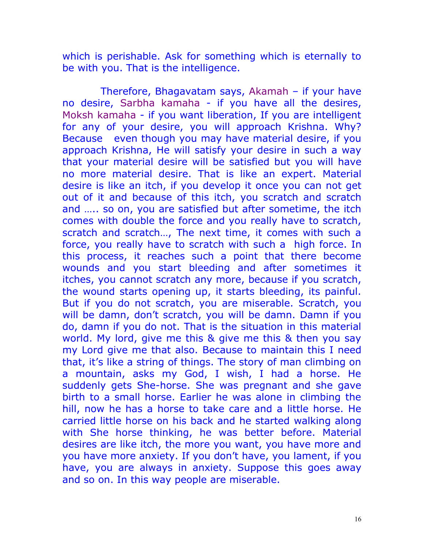which is perishable. Ask for something which is eternally to be with you. That is the intelligence.

 Therefore, Bhagavatam says, Akamah – if your have no desire, Sarbha kamaha - if you have all the desires, Moksh kamaha - if you want liberation, If you are intelligent for any of your desire, you will approach Krishna. Why? Because even though you may have material desire, if you approach Krishna, He will satisfy your desire in such a way that your material desire will be satisfied but you will have no more material desire. That is like an expert. Material desire is like an itch, if you develop it once you can not get out of it and because of this itch, you scratch and scratch and ….. so on, you are satisfied but after sometime, the itch comes with double the force and you really have to scratch, scratch and scratch…, The next time, it comes with such a force, you really have to scratch with such a high force. In this process, it reaches such a point that there become wounds and you start bleeding and after sometimes it itches, you cannot scratch any more, because if you scratch, the wound starts opening up, it starts bleeding, its painful. But if you do not scratch, you are miserable. Scratch, you will be damn, don't scratch, you will be damn. Damn if you do, damn if you do not. That is the situation in this material world. My lord, give me this & give me this & then you say my Lord give me that also. Because to maintain this I need that, it's like a string of things. The story of man climbing on a mountain, asks my God, I wish, I had a horse. He suddenly gets She-horse. She was pregnant and she gave birth to a small horse. Earlier he was alone in climbing the hill, now he has a horse to take care and a little horse. He carried little horse on his back and he started walking along with She horse thinking, he was better before. Material desires are like itch, the more you want, you have more and you have more anxiety. If you don't have, you lament, if you have, you are always in anxiety. Suppose this goes away and so on. In this way people are miserable.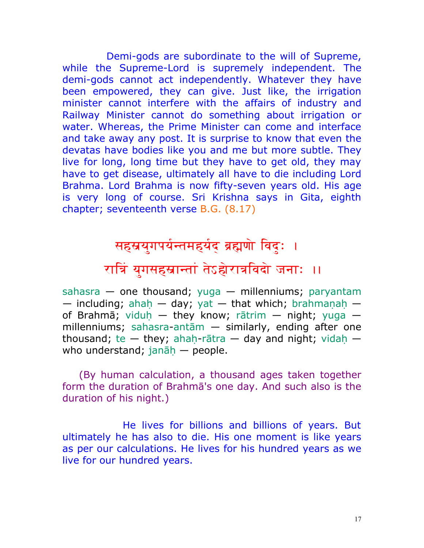Demi-gods are subordinate to the will of Supreme, while the Supreme-Lord is supremely independent. The demi-gods cannot act independently. Whatever they have been empowered, they can give. Just like, the irrigation minister cannot interfere with the affairs of industry and Railway Minister cannot do something about irrigation or water. Whereas, the Prime Minister can come and interface and take away any post. It is surprise to know that even the devatas have bodies like you and me but more subtle. They live for long, long time but they have to get old, they may have to get disease, ultimately all have to die including Lord Brahma. Lord Brahma is now fifty-seven years old. His age is very long of course. Sri Krishna says in Gita, eighth chapter; seventeenth verse B.G. (8.17)

### सहस्रयुगपर्यन्तमहर्यद ब्रह्मणो विदुः ।

## रात्रिं युगसहस्रान्तां तेऽहोरात्रविदो जनाः ॥

[sahasra](http://bhagavadgitaasitis.com/s/sahasra) — one thousand; [yuga](http://bhagavadgitaasitis.com/y/yuga) — millenniums; [paryantam](http://bhagavadgitaasitis.com/p/paryantam) — including; ahah — day; [yat](http://bhagavadgitaasitis.com/y/yat) — that which; brahmanah — of [Brahmā;](http://bhagavadgitaasitis.com/b/brahma) viduh — they know; [rātrim](http://bhagavadgitaasitis.com/r/ratrim) — night; [yuga](http://bhagavadgitaasitis.com/y/yuga)  millenniums; [sahasra](http://bhagavadgitaasitis.com/s/sahasra)[-antām](http://bhagavadgitaasitis.com/a/antam) — similarly, ending after one thousand; [te](http://bhagavadgitaasitis.com/t/te)  $-$  they; ahah[-rātra](http://bhagavadgitaasitis.com/r/ratra)  $-$  day and night; vidah  $$ who understand; janāh — people.

(By human calculation, a thousand ages taken together form the duration of [Brahmā](http://bhagavadgitaasitis.com/b/brahma)'s one day. And such also is the duration of his night.)

 He lives for billions and billions of years. But ultimately he has also to die. His one moment is like years as per our calculations. He lives for his hundred years as we live for our hundred years.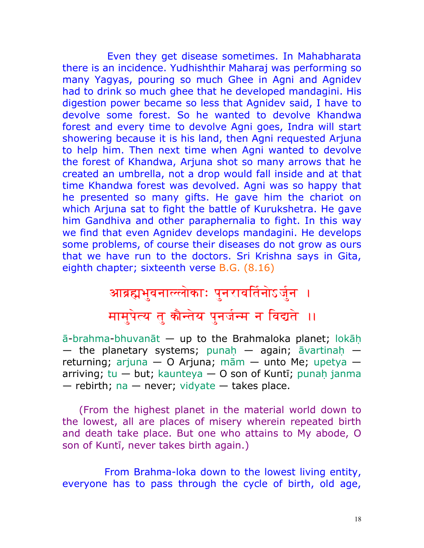Even they get disease sometimes. In Mahabharata there is an incidence. Yudhishthir Maharaj was performing so many Yagyas, pouring so much Ghee in Agni and Agnidev had to drink so much ghee that he developed mandagini. His digestion power became so less that Agnidev said, I have to devolve some forest. So he wanted to devolve Khandwa forest and every time to devolve Agni goes, Indra will start showering because it is his land, then Agni requested Arjuna to help him. Then next time when Agni wanted to devolve the forest of Khandwa, Arjuna shot so many arrows that he created an umbrella, not a drop would fall inside and at that time Khandwa forest was devolved. Agni was so happy that he presented so many gifts. He gave him the chariot on which Arjuna sat to fight the battle of Kurukshetra. He gave him Gandhiva and other paraphernalia to fight. In this way we find that even Agnidev develops mandagini. He develops some problems, of course their diseases do not grow as ours that we have run to the doctors. Sri Krishna says in Gita, eighth chapter; sixteenth verse B.G. (8.16)

#### आब्रह्मभुवनाल्लोकाः पुनरावर्तिनोऽर्जुन ।

मामुपेत्य तु <mark>कौन्तेय पुनर्जन्म न विद्यते</mark> ।।

[ā](http://bhagavadgitaasitis.com/a/a)[-brahma](http://bhagavadgitaasitis.com/b/brahma)[-bhuvanāt](http://bhagavadgitaasitis.com/b/bhuvanat) — up [to](http://bhagavadgitaasitis.com/t/to) the Brahmaloka planet; [lokāh](http://bhagavadgitaasitis.com/l/lokah), — the planetary systems; punah — again;  $\bar{a}$ vartinah returning; [arjuna](http://bhagavadgitaasitis.com/a/arjuna) — [O](http://bhagavadgitaasitis.com/o/o) [Arjuna;](http://bhagavadgitaasitis.com/a/arjuna) [mām](http://bhagavadgitaasitis.com/m/mam) — unto [Me;](http://bhagavadgitaasitis.com/m/me) [upetya](http://bhagavadgitaasitis.com/u/upetya)  arriving;  $tu - but$ ; [kaunteya](http://bhagavadgitaasitis.com/k/kaunteya)  $-$  [O](http://bhagavadgitaasitis.com/o/o) son of Kunti; punah [janma](http://bhagavadgitaasitis.com/j/janma)  $-$  rebirth; [na](http://bhagavadgitaasitis.com/n/na)  $-$  never; [vidyate](http://bhagavadgitaasitis.com/v/vidyate)  $-$  takes place.

(From the highest planet in the material world down to the lowest, all are places of misery wherein repeated birth and death take place. But one who attains to My abode, O son of [Kuntī,](http://bhagavadgitaasitis.com/k/kunti) never takes birth again.)

 From Brahma-loka down to the lowest living entity, everyone has to pass through the cycle of birth, old age,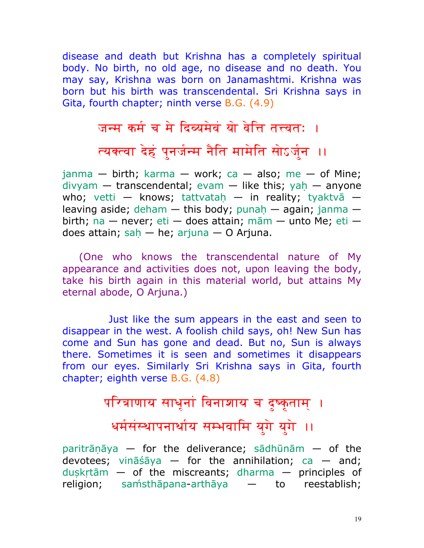disease and death but Krishna has a completely spiritual body. No birth, no old age, no disease and no death. You may say, Krishna was born on Janamashtmi. Krishna was born but his birth was transcendental. Sri Krishna says in Gita, fourth chapter; ninth verse B.G. (4.9)

#### जन्म कर्म च मे दिव्यमेवं यो वेनि तत्त्वत: ।

### त्यक्त्वा देहं पुनर्जन्म नैति मामेति सोऽर्जुन ।।

 $janma - birth$  $janma - birth$ ; [karma](http://bhagavadgitaasitis.com/k/karma) - work; [ca](http://bhagavadgitaasitis.com/c/ca) - also; [me](http://bhagavadgitaasitis.com/m/me) - of [Mine;](http://bhagavadgitaasitis.com/m/mine)  $div$ yam — transcendental; [evam](http://bhagavadgitaasitis.com/e/evam) — like this; yah — anyone who; [vetti](http://bhagavadgitaasitis.com/v/vetti) — knows; tattvatah — [in](http://bhagavadgitaasitis.com/i/in) reality; [tyaktvā](http://bhagavadgitaasitis.com/t/tyaktva)  leaving aside; [deham](http://bhagavadgitaasitis.com/d/deham)  $-$  this body; punah  $-$  again; [janma](http://bhagavadgitaasitis.com/j/janma)  $$ birth; [na](http://bhagavadgitaasitis.com/n/na) — never; [eti](http://bhagavadgitaasitis.com/e/eti) — does attain; [mām](http://bhagavadgitaasitis.com/m/mam) — unto [Me;](http://bhagavadgitaasitis.com/m/me) eti does attain; sah — [he;](http://bhagavadgitaasitis.com/h/he) [arjuna](http://bhagavadgitaasitis.com/a/arjuna) — [O](http://bhagavadgitaasitis.com/o/o) [Arjuna.](http://bhagavadgitaasitis.com/a/arjuna)

(One who knows the transcendental nature of My appearance and activities does not, upon leaving the body, take his birth again in this material world, but attains My eternal abode, O [Arjuna.](http://bhagavadgitaasitis.com/a/arjuna))

 Just like the sum appears in the east and seen to disappear in the west. A foolish child says, oh! New Sun has come and Sun has gone and dead. But no, Sun is always there. Sometimes it is seen and sometimes it disappears from our eyes. Similarly Sri Krishna says in Gita, fourth chapter; eighth verse B.G. (4.8)

# परित्राणाय साधूनां विनाशाय च दुष्कृताम् । धर्मसंस्थापनार्थाय सम्भवामि युगे युगे ।।

paritrānāya — for the deliverance; [sādhūnām](http://bhagavadgitaasitis.com/s/sadhunam) — of the devotees; [vināśāya](http://bhagavadgitaasitis.com/v/vinasaya) — for the annihilation; [ca](http://bhagavadgitaasitis.com/c/ca) — and; duskrtām  $-$  of the miscreants; [dharma](http://bhagavadgitaasitis.com/d/dharma)  $-$  principles of religion; [sam`sthāpana](http://bhagavadgitaasitis.com/s/samsthapana)[-arthāya](http://bhagavadgitaasitis.com/a/arthaya) — [to](http://bhagavadgitaasitis.com/t/to) reestablish;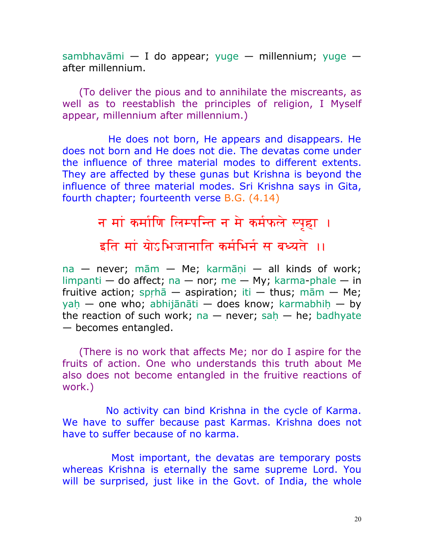[sambhavāmi](http://bhagavadgitaasitis.com/s/sambhavami) — [I](http://bhagavadgitaasitis.com/i/i) [do](http://bhagavadgitaasitis.com/d/do) appear; [yuge](http://bhagavadgitaasitis.com/y/yuge) — millennium; yuge after millennium.

(To deliver the pious and to annihilate the miscreants, as well as to reestablish the principles of religion, I Myself appear, millennium after millennium.)

 He does not born, He appears and disappears. He does not born and He does not die. The devatas come under the influence of three material modes to different extents. They are affected by these gunas but Krishna is beyond the influence of three material modes. Sri Krishna says in Gita, fourth chapter; fourteenth verse B.G. (4.14)

## न मां कर्माणि लिम्पन्ति न मे कर्मफले स्पृहा । इति मां योऽभिजानाति कर्मभिर्न स बध्यते ।।

 $na$  — never;  $m\bar{a}m$  — [Me;](http://bhagavadgitaasitis.com/m/me) karmāņi — all kinds of work; [limpanti](http://bhagavadgitaasitis.com/l/limpanti) — [do](http://bhagavadgitaasitis.com/d/do) affect; [na](http://bhagavadgitaasitis.com/n/na) — nor; [me](http://bhagavadgitaasitis.com/m/me) — My; [karma-](http://bhagavadgitaasitis.com/k/karma)[phale](http://bhagavadgitaasitis.com/p/phale) — [in](http://bhagavadgitaasitis.com/i/in) fruitive action; sprhā — aspiration; [iti](http://bhagavadgitaasitis.com/i/iti) — thus; [mām](http://bhagavadgitaasitis.com/m/mam) — [Me;](http://bhagavadgitaasitis.com/m/me) yah — one who; [abhijānāti](http://bhagavadgitaasitis.com/a/abhijanati) — does know; karmabhih — by the reaction of such work; [na](http://bhagavadgitaasitis.com/n/na)  $-$  never; sah  $-$  [he;](http://bhagavadgitaasitis.com/h/he) [badhyate](http://bhagavadgitaasitis.com/b/badhyate) — becomes entangled.

(There is no work that affects Me; nor do I aspire for the fruits of action. One who understands this truth about Me also does not become entangled in the fruitive reactions of work.)

 No activity can bind Krishna in the cycle of Karma. We have to suffer because past Karmas. Krishna does not have to suffer because of no karma.

 Most important, the devatas are temporary posts whereas Krishna is eternally the same supreme Lord. You will be surprised, just like in the Govt. of India, the whole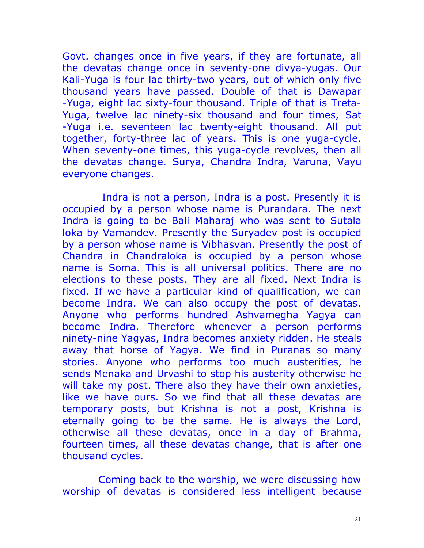Govt. changes once in five years, if they are fortunate, all the devatas change once in seventy-one divya-yugas. Our Kali-Yuga is four lac thirty-two years, out of which only five thousand years have passed. Double of that is Dawapar -Yuga, eight lac sixty-four thousand. Triple of that is Treta-Yuga, twelve lac ninety-six thousand and four times, Sat -Yuga i.e. seventeen lac twenty-eight thousand. All put together, forty-three lac of years. This is one yuga-cycle. When seventy-one times, this yuga-cycle revolves, then all the devatas change. Surya, Chandra Indra, Varuna, Vayu everyone changes.

 Indra is not a person, Indra is a post. Presently it is occupied by a person whose name is Purandara. The next Indra is going to be Bali Maharaj who was sent to Sutala loka by Vamandev. Presently the Suryadev post is occupied by a person whose name is Vibhasvan. Presently the post of Chandra in Chandraloka is occupied by a person whose name is Soma. This is all universal politics. There are no elections to these posts. They are all fixed. Next Indra is fixed. If we have a particular kind of qualification, we can become Indra. We can also occupy the post of devatas. Anyone who performs hundred Ashvamegha Yagya can become Indra. Therefore whenever a person performs ninety-nine Yagyas, Indra becomes anxiety ridden. He steals away that horse of Yagya. We find in Puranas so many stories. Anyone who performs too much austerities, he sends Menaka and Urvashi to stop his austerity otherwise he will take my post. There also they have their own anxieties, like we have ours. So we find that all these devatas are temporary posts, but Krishna is not a post, Krishna is eternally going to be the same. He is always the Lord, otherwise all these devatas, once in a day of Brahma, fourteen times, all these devatas change, that is after one thousand cycles.

 Coming back to the worship, we were discussing how worship of devatas is considered less intelligent because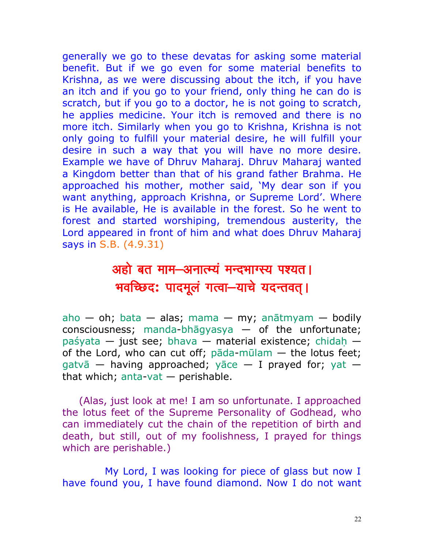generally we go to these devatas for asking some material benefit. But if we go even for some material benefits to Krishna, as we were discussing about the itch, if you have an itch and if you go to your friend, only thing he can do is scratch, but if you go to a doctor, he is not going to scratch, he applies medicine. Your itch is removed and there is no more itch. Similarly when you go to Krishna, Krishna is not only going to fulfill your material desire, he will fulfill your desire in such a way that you will have no more desire. Example we have of Dhruv Maharaj. Dhruv Maharaj wanted a Kingdom better than that of his grand father Brahma. He approached his mother, mother said, 'My dear son if you want anything, approach Krishna, or Supreme Lord'. Where is He available, He is available in the forest. So he went to forest and started worshiping, tremendous austerity, the Lord appeared in front of him and what does Dhruv Maharaj says in S.B. (4.9.31)

### अहो बत माम-अनात्म्यं मन्दभाग्स्य पश्यत। भवच्छिद: पादमूलं गत्वा-याचे यदन्तवत् ।

[aho](http://vedabase.net/a/aho) — oh; [bata](http://vedabase.net/b/bata) — alas; [mama](http://vedabase.net/m/mama) — my; [anātmyam](http://vedabase.net/a/anatmyam) — bodily consciousness; [manda](http://vedabase.net/m/manda)-bhagyasya  $-$  of the unfortunate; [paśyata](http://vedabase.net/p/pasyata) — just see; [bhava](http://vedabase.net/b/bhava) — material existence; chidah of the Lord, who can cut off; [pāda](http://vedabase.net/p/pada)[-mūlam](http://vedabase.net/m/mulam) — the lotus feet; [gatvā](http://vedabase.net/g/gatva) — having approached; [yāce](http://vedabase.net/y/yace) — [I](http://vedabase.net/i/i) prayed for; [yat](http://vedabase.net/y/yat)  that which; [anta-](http://vedabase.net/a/anta)[vat](http://vedabase.net/v/vat) — perishable.

(Alas, just look at me! I am so unfortunate. I approached the lotus feet of the Supreme Personality of Godhead, who can immediately cut the chain of the repetition of birth and death, but still, out of my foolishness, I prayed for things which are perishable.)

 My Lord, I was looking for piece of glass but now I have found you, I have found diamond. Now I do not want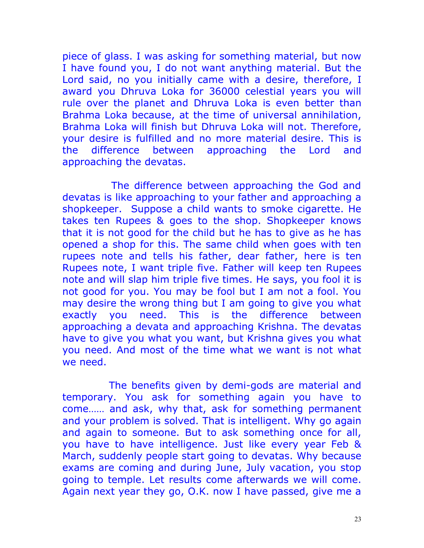piece of glass. I was asking for something material, but now I have found you, I do not want anything material. But the Lord said, no you initially came with a desire, therefore, I award you Dhruva Loka for 36000 celestial years you will rule over the planet and Dhruva Loka is even better than Brahma Loka because, at the time of universal annihilation, Brahma Loka will finish but Dhruva Loka will not. Therefore, your desire is fulfilled and no more material desire. This is the difference between approaching the Lord and approaching the devatas.

 The difference between approaching the God and devatas is like approaching to your father and approaching a shopkeeper. Suppose a child wants to smoke cigarette. He takes ten Rupees & goes to the shop. Shopkeeper knows that it is not good for the child but he has to give as he has opened a shop for this. The same child when goes with ten rupees note and tells his father, dear father, here is ten Rupees note, I want triple five. Father will keep ten Rupees note and will slap him triple five times. He says, you fool it is not good for you. You may be fool but I am not a fool. You may desire the wrong thing but I am going to give you what exactly you need. This is the difference between approaching a devata and approaching Krishna. The devatas have to give you what you want, but Krishna gives you what you need. And most of the time what we want is not what we need.

 The benefits given by demi-gods are material and temporary. You ask for something again you have to come…… and ask, why that, ask for something permanent and your problem is solved. That is intelligent. Why go again and again to someone. But to ask something once for all, you have to have intelligence. Just like every year Feb & March, suddenly people start going to devatas. Why because exams are coming and during June, July vacation, you stop going to temple. Let results come afterwards we will come. Again next year they go, O.K. now I have passed, give me a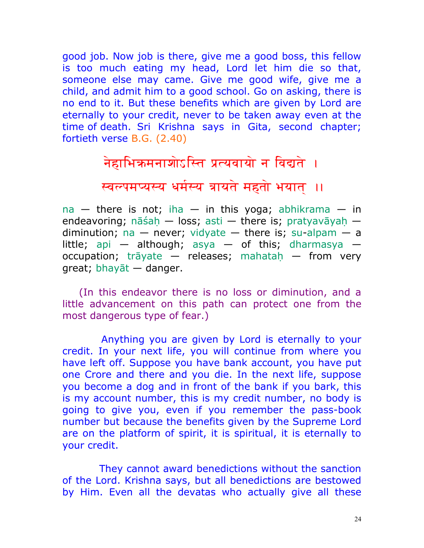good job. Now job is there, give me a good boss, this fellow is too much eating my head, Lord let him die so that, someone else may came. Give me good wife, give me a child, and admit him to a good school. Go on asking, there is no end to it. But these benefits which are given by Lord are eternally to your credit, never to be taken away even at the time of death. Sri Krishna says in Gita, second chapter; fortieth verse B.G. (2.40)

### नेहाभिक्रमनाशोऽस्ति प्रत्यवायो न विद्यते ।

स्वल्पमप्यस्य धर्मस्य त्रायते महतो भयात् ।।

 $na - there$  $na - there$  is not; [iha](http://bhagavadgitaasitis.com/i/iha)  $-$  [in](http://bhagavadgitaasitis.com/i/in) this [yoga;](http://bhagavadgitaasitis.com/y/yoga) [abhikrama](http://bhagavadgitaasitis.com/a/abhikrama)  $-$  [in](http://bhagavadgitaasitis.com/i/in) endeavoring; nāśah — loss; [asti](http://bhagavadgitaasitis.com/a/asti) — there is; pratyavāyah diminution; [na](http://bhagavadgitaasitis.com/n/na)  $-$  never; [vidyate](http://bhagavadgitaasitis.com/v/vidyate)  $-$  there is; [su-](http://bhagavadgitaasitis.com/s/su)[alpam](http://bhagavadgitaasitis.com/a/alpam)  $-$  [a](http://bhagavadgitaasitis.com/a/a) little; [api](http://bhagavadgitaasitis.com/a/api)  $-$  although; [asya](http://bhagavadgitaasitis.com/a/asya)  $-$  of this; [dharmasya](http://bhagavadgitaasitis.com/d/dharmasya)  $$ occupation; [trāyate](http://bhagavadgitaasitis.com/t/trayate) — releases; mahatah — from very great; [bhayāt](http://bhagavadgitaasitis.com/b/bhayat) — danger.

(In this endeavor there is no loss or diminution, and a little advancement on this path can protect one from the most dangerous type of fear.)

 Anything you are given by Lord is eternally to your credit. In your next life, you will continue from where you have left off. Suppose you have bank account, you have put one Crore and there and you die. In the next life, suppose you become a dog and in front of the bank if you bark, this is my account number, this is my credit number, no body is going to give you, even if you remember the pass-book number but because the benefits given by the Supreme Lord are on the platform of spirit, it is spiritual, it is eternally to your credit.

 They cannot award benedictions without the sanction of the Lord. Krishna says, but all benedictions are bestowed by Him. Even all the devatas who actually give all these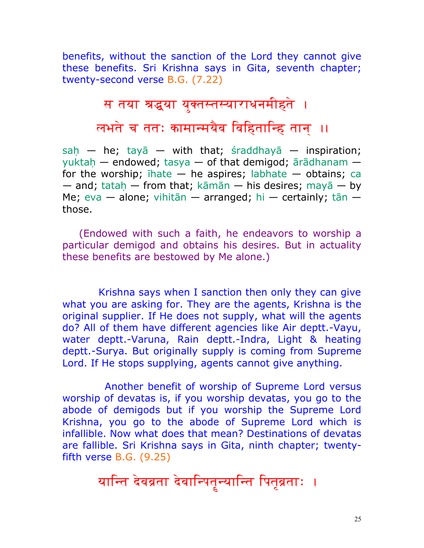benefits, without the sanction of the Lord they cannot give these benefits. Sri Krishna says in Gita, seventh chapter; twenty-second verse B.G. (7.22)

## स तया श्रद्धया युक्तस्तस्याराधनमीहते । लभते च ततः कामान्मयैव विहितान्हि तान् ।।

 $sah$  — [he;](http://bhagavadgitaasitis.com/h/he) [tayā](http://bhagavadgitaasitis.com/t/taya) — with that; [śraddhayā](http://bhagavadgitaasitis.com/s/sraddhaya) — inspiration; yuktah — endowed; [tasya](http://bhagavadgitaasitis.com/t/tasya) — of that demigod; [ārādhanam](http://bhagavadgitaasitis.com/a/aradhanam)  for the worship;  $i$ hate  $-$  [he](http://bhagavadgitaasitis.com/h/he) aspires; [labhate](http://bhagavadgitaasitis.com/l/labhate)  $-$  obtains; [ca](http://bhagavadgitaasitis.com/c/ca)  $-$  and; tatah  $-$  from that; [kāmān](http://bhagavadgitaasitis.com/k/kaman)  $-$  his desires; [mayā](http://bhagavadgitaasitis.com/m/maya)  $-$  by [Me;](http://bhagavadgitaasitis.com/m/me) [eva](http://bhagavadgitaasitis.com/e/eva) — alone; [vihitān](http://bhagavadgitaasitis.com/v/vihitan) — arranged; [hi](http://bhagavadgitaasitis.com/h/hi) — certainly; [tān](http://bhagavadgitaasitis.com/t/tan)  those.

(Endowed with such a faith, he endeavors to worship a particular demigod and obtains his desires. But in actuality these benefits are bestowed by Me alone.)

 Krishna says when I sanction then only they can give what you are asking for. They are the agents, Krishna is the original supplier. If He does not supply, what will the agents do? All of them have different agencies like Air deptt.-Vayu, water deptt.-Varuna, Rain deptt.-Indra, Light & heating deptt.-Surya. But originally supply is coming from Supreme Lord. If He stops supplying, agents cannot give anything.

 Another benefit of worship of Supreme Lord versus worship of devatas is, if you worship devatas, you go to the abode of demigods but if you worship the Supreme Lord Krishna, you go to the abode of Supreme Lord which is infallible. Now what does that mean? Destinations of devatas are fallible. Sri Krishna says in Gita, ninth chapter; twentyfifth verse B.G. (9.25)

y:aent: dðv:v:Òt:a dðv:aenp:t:äny:aent: ep:t:àv:Òt:aH .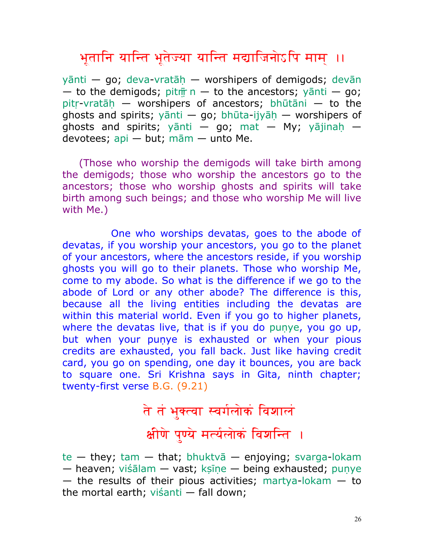### भूतानि यान्ति भूतेज्या यान्ति मद्याजिनोऽपि माम् ।।

 $y$ ānti — [go;](http://bhagavadgitaasitis.com/g/go) [deva](http://bhagavadgitaasitis.com/d/deva)-vratāh — worshipers of demigods; [devān](http://bhagavadgitaasitis.com/d/devan)  $-$  [to](http://bhagavadgitaasitis.com/t/to) the demigods; pitm  $\overline{r}$  n  $-$  to the ancestors; yanti  $-$  [go;](http://bhagavadgitaasitis.com/g/go) pitr-vratāh — worshipers of ancestors; [bhūtāni](http://bhagavadgitaasitis.com/b/bhutani) — [to](http://bhagavadgitaasitis.com/t/to) the ghosts and spirits;  $y\bar{a}$ nti — [go;](http://bhagavadgitaasitis.com/g/go) [bhūta](http://bhagavadgitaasitis.com/b/bhuta)-ijyāh — worshipers of ghosts and spirits; [yānti](http://bhagavadgitaasitis.com/y/yanti) — [go;](http://bhagavadgitaasitis.com/g/go) [mat](http://bhagavadgitaasitis.com/m/mat) — My; yājinah devotees; [api](http://bhagavadgitaasitis.com/a/api) — but; [mām](http://bhagavadgitaasitis.com/m/mam) — unto [Me.](http://bhagavadgitaasitis.com/m/me)

(Those who worship the demigods will take birth among the demigods; those who worship the ancestors go to the ancestors; those who worship ghosts and spirits will take birth among such beings; and those who worship Me will live with Me.)

 One who worships devatas, goes to the abode of devatas, if you worship your ancestors, you go to the planet of your ancestors, where the ancestors reside, if you worship ghosts you will go to their planets. Those who worship Me, come to my abode. So what is the difference if we go to the abode of Lord or any other abode? The difference is this, because all the living entities including the devatas are within this material world. Even if you go to higher planets, where the devatas live, that is if you do punye, you go up, but when your punye is exhausted or when your pious credits are exhausted, you fall back. Just like having credit card, you go on spending, one day it bounces, you are back to square one. Sri Krishna says in Gita, ninth chapter; twenty-first verse B.G. (9.21)

# ते तं भुक्त्वा स्वर्गलोकं विशालं क्षीणे पुण्ये मर्त्यलोकं विशन्ति ।

[te](http://bhagavadgitaasitis.com/t/te)  $-$  they; [tam](http://bhagavadgitaasitis.com/t/tam)  $-$  that; bhuktva  $-$  enjoying; [svarga-](http://bhagavadgitaasitis.com/s/svarga)[lokam](http://bhagavadgitaasitis.com/l/lokam)  $-$  heaven; [viśālam](http://bhagavadgitaasitis.com/v/visalam)  $-$  vast; ksīne  $-$  being exhausted; punye  $-$  the results of their pious activities; [martya](http://bhagavadgitaasitis.com/m/martya)[-lokam](http://bhagavadgitaasitis.com/l/lokam)  $-$  [to](http://bhagavadgitaasitis.com/t/to) the mortal earth; [viśanti](http://bhagavadgitaasitis.com/v/visanti) — fall down;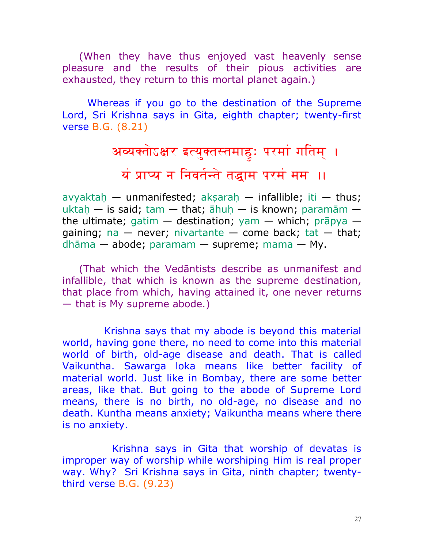(When they have thus enjoyed vast heavenly sense pleasure and the results of their pious activities are exhausted, they return to this mortal planet again.)

Whereas if you go to the destination of the Supreme Lord, Sri Krishna says in Gita, eighth chapter; twenty-first verse B.G. (8.21)

# अव्यक्तोऽक्षर इत्युक्तस्तमाहुः परमां गतिम् । यं प्राप्य न निवर्तन्ते तद्धाम परमं मम ॥

avyaktah — unmanifested; aksarah — infallible; [iti](http://bhagavadgitaasitis.com/i/iti) — thus; uktah — is said; [tam](http://bhagavadgitaasitis.com/t/tam) — that; āhuh — is known; [paramām](http://bhagavadgitaasitis.com/p/paramam)  the ultimate; [gatim](http://bhagavadgitaasitis.com/g/gatim)  $-$  destination; [yam](http://bhagavadgitaasitis.com/y/yam)  $-$  which; [prāpya](http://bhagavadgitaasitis.com/p/prapya)  $$ gaining; [na](http://bhagavadgitaasitis.com/n/na)  $-$  never; [nivartante](http://bhagavadgitaasitis.com/n/nivartante)  $-$  come back; [tat](http://bhagavadgitaasitis.com/t/tat)  $-$  that; [dhāma](http://bhagavadgitaasitis.com/d/dhama) — abode; [paramam](http://bhagavadgitaasitis.com/p/paramam) — supreme; [mama](http://bhagavadgitaasitis.com/m/mama) — My.

(That which the Vedāntists describe as unmanifest and infallible, that which is known as the supreme destination, that place from which, having attained it, one never returns — that is My supreme abode.)

 Krishna says that my abode is beyond this material world, having gone there, no need to come into this material world of birth, old-age disease and death. That is called Vaikuntha. Sawarga loka means like better facility of material world. Just like in Bombay, there are some better areas, like that. But going to the abode of Supreme Lord means, there is no birth, no old-age, no disease and no death. Kuntha means anxiety; Vaikuntha means where there is no anxiety.

 Krishna says in Gita that worship of devatas is improper way of worship while worshiping Him is real proper way. Why? Sri Krishna says in Gita, ninth chapter; twentythird verse B.G. (9.23)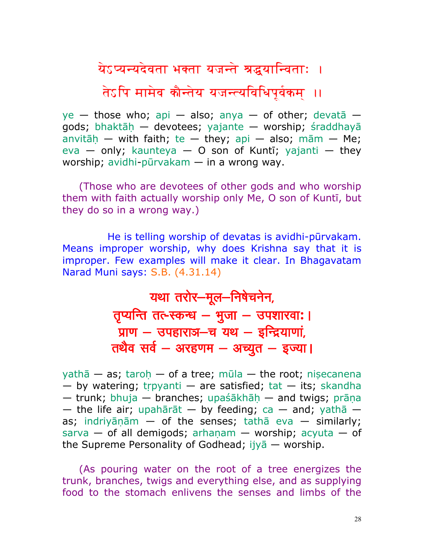येऽप्यन्यदेवता भक्ता यजन्ते श्रद्धयान्विताः ।

तेऽपि मामेव कौन्तेय यजन्त्यविधिपूर्वकम् ।।

 $ye$  — those who; [api](http://bhagavadgitaasitis.com/a/api) — also; [anya](http://bhagavadgitaasitis.com/a/anya) — of other; devata gods; bhaktāh — devotees; [yajante](http://bhagavadgitaasitis.com/y/yajante) — worship; [śraddhayā](http://bhagavadgitaasitis.com/s/sraddhaya) anvitāh — with faith; [te](http://bhagavadgitaasitis.com/t/te) — they; [api](http://bhagavadgitaasitis.com/a/api) — also; [mām](http://bhagavadgitaasitis.com/m/mam) — [Me;](http://bhagavadgitaasitis.com/m/me) [eva](http://bhagavadgitaasitis.com/e/eva) — only; [kaunteya](http://bhagavadgitaasitis.com/k/kaunteya) — [O](http://bhagavadgitaasitis.com/o/o) son of [Kuntī;](http://bhagavadgitaasitis.com/k/kunti) [yajanti](http://bhagavadgitaasitis.com/y/yajanti) — they worship; [avidhi-](http://bhagavadgitaasitis.com/a/avidhi)[pūrvakam](http://bhagavadgitaasitis.com/p/purvakam) — [in](http://bhagavadgitaasitis.com/i/in) [a](http://bhagavadgitaasitis.com/a/a) wrong way.

(Those who are devotees of other gods and who worship them with faith actually worship only Me, O son of [Kuntī,](http://bhagavadgitaasitis.com/k/kunti) but they do so in a wrong way.)

 He is telling worship of devatas is avidhi-pūrvakam. Means improper worship, why does Krishna say that it is improper. Few examples will make it clear. In Bhagavatam Narad Muni says: S.B. (4.31.14)

> यथा तरोर-मूल-निषेचनेन, तृप्यन्ति तत्-स्कन्ध – भुजा – उपशारवा: । प्राण  $-$  उपहाराञ $-$ च यथ  $-$  इन्द्रियाणां, तथैव सर्व – अरहणम $-$  अच्युत – इज्या।

[yathā](http://vedabase.net/y/yatha) — [as;](http://vedabase.net/a/as) taroh — of [a](http://vedabase.net/a/a) tree; [mūla](http://vedabase.net/m/mula) — the root; nisecanena  $-$  by watering; trpyanti  $-$  [are](http://vedabase.net/a/are) satisfied; [tat](http://vedabase.net/t/tat)  $-$  its; [skandha](http://vedabase.net/s/skandha)  $-$  trunk; [bhuja](http://vedabase.net/b/bhuja)  $-$  branches; upaśākhāh  $-$  and twigs; prāna — the life air; [upahārāt](http://vedabase.net/u/upaharat) — by feeding; [ca](http://vedabase.net/c/ca) — and; [yathā](http://vedabase.net/y/yatha)  [as;](http://vedabase.net/a/as) indriyānām — of the senses; [tathā](http://vedabase.net/t/tatha) [eva](http://vedabase.net/e/eva) — similarly; [sarva](http://vedabase.net/s/sarva)  $-$  of all demigods; arhanam  $-$  worship; [acyuta](http://vedabase.net/a/acyuta)  $-$  of the Supreme Personality of Godhead; ijy $\bar{a}$  — worship.

(As pouring water on the root of a tree energizes the trunk, branches, twigs and everything else, and as supplying food to the stomach enlivens the senses and limbs of the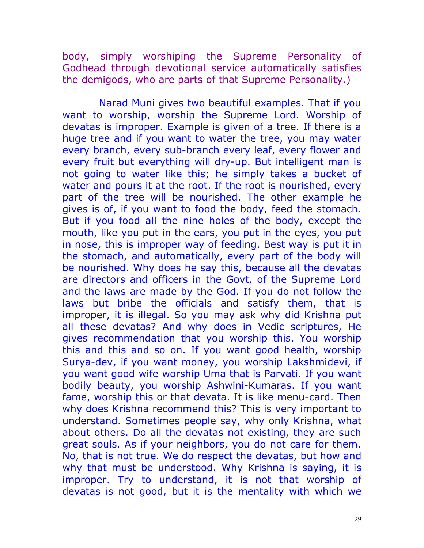body, simply worshiping the Supreme Personality of Godhead through devotional service automatically satisfies the demigods, who are parts of that Supreme Personality.)

 Narad Muni gives two beautiful examples. That if you want to worship, worship the Supreme Lord. Worship of devatas is improper. Example is given of a tree. If there is a huge tree and if you want to water the tree, you may water every branch, every sub-branch every leaf, every flower and every fruit but everything will dry-up. But intelligent man is not going to water like this; he simply takes a bucket of water and pours it at the root. If the root is nourished, every part of the tree will be nourished. The other example he gives is of, if you want to food the body, feed the stomach. But if you food all the nine holes of the body, except the mouth, like you put in the ears, you put in the eyes, you put in nose, this is improper way of feeding. Best way is put it in the stomach, and automatically, every part of the body will be nourished. Why does he say this, because all the devatas are directors and officers in the Govt. of the Supreme Lord and the laws are made by the God. If you do not follow the laws but bribe the officials and satisfy them, that is improper, it is illegal. So you may ask why did Krishna put all these devatas? And why does in Vedic scriptures, He gives recommendation that you worship this. You worship this and this and so on. If you want good health, worship Surya-dev, if you want money, you worship Lakshmidevi, if you want good wife worship Uma that is Parvati. If you want bodily beauty, you worship Ashwini-Kumaras. If you want fame, worship this or that devata. It is like menu-card. Then why does Krishna recommend this? This is very important to understand. Sometimes people say, why only Krishna, what about others. Do all the devatas not existing, they are such great souls. As if your neighbors, you do not care for them. No, that is not true. We do respect the devatas, but how and why that must be understood. Why Krishna is saying, it is improper. Try to understand, it is not that worship of devatas is not good, but it is the mentality with which we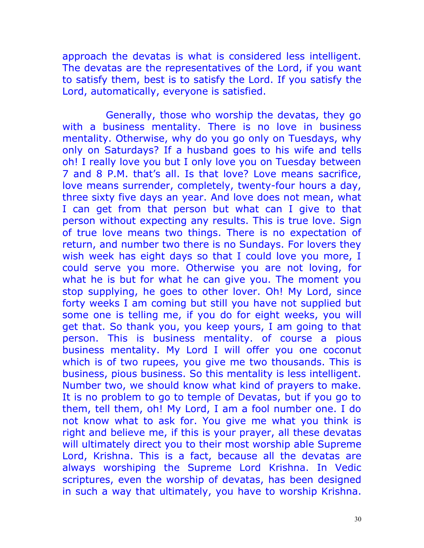approach the devatas is what is considered less intelligent. The devatas are the representatives of the Lord, if you want to satisfy them, best is to satisfy the Lord. If you satisfy the Lord, automatically, everyone is satisfied.

 Generally, those who worship the devatas, they go with a business mentality. There is no love in business mentality. Otherwise, why do you go only on Tuesdays, why only on Saturdays? If a husband goes to his wife and tells oh! I really love you but I only love you on Tuesday between 7 and 8 P.M. that's all. Is that love? Love means sacrifice, love means surrender, completely, twenty-four hours a day, three sixty five days an year. And love does not mean, what I can get from that person but what can I give to that person without expecting any results. This is true love. Sign of true love means two things. There is no expectation of return, and number two there is no Sundays. For lovers they wish week has eight days so that I could love you more, I could serve you more. Otherwise you are not loving, for what he is but for what he can give you. The moment you stop supplying, he goes to other lover. Oh! My Lord, since forty weeks I am coming but still you have not supplied but some one is telling me, if you do for eight weeks, you will get that. So thank you, you keep yours, I am going to that person. This is business mentality. of course a pious business mentality. My Lord I will offer you one coconut which is of two rupees, you give me two thousands. This is business, pious business. So this mentality is less intelligent. Number two, we should know what kind of prayers to make. It is no problem to go to temple of Devatas, but if you go to them, tell them, oh! My Lord, I am a fool number one. I do not know what to ask for. You give me what you think is right and believe me, if this is your prayer, all these devatas will ultimately direct you to their most worship able Supreme Lord, Krishna. This is a fact, because all the devatas are always worshiping the Supreme Lord Krishna. In Vedic scriptures, even the worship of devatas, has been designed in such a way that ultimately, you have to worship Krishna.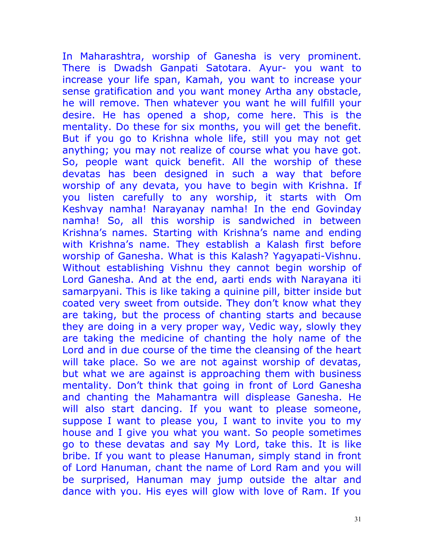In Maharashtra, worship of Ganesha is very prominent. There is Dwadsh Ganpati Satotara. Ayur- you want to increase your life span, Kamah, you want to increase your sense gratification and you want money Artha any obstacle, he will remove. Then whatever you want he will fulfill your desire. He has opened a shop, come here. This is the mentality. Do these for six months, you will get the benefit. But if you go to Krishna whole life, still you may not get anything; you may not realize of course what you have got. So, people want quick benefit. All the worship of these devatas has been designed in such a way that before worship of any devata, you have to begin with Krishna. If you listen carefully to any worship, it starts with Om Keshvay namha! Narayanay namha! In the end Govinday namha! So, all this worship is sandwiched in between Krishna's names. Starting with Krishna's name and ending with Krishna's name. They establish a Kalash first before worship of Ganesha. What is this Kalash? Yagyapati-Vishnu. Without establishing Vishnu they cannot begin worship of Lord Ganesha. And at the end, aarti ends with Narayana iti samarpyani. This is like taking a quinine pill, bitter inside but coated very sweet from outside. They don't know what they are taking, but the process of chanting starts and because they are doing in a very proper way, Vedic way, slowly they are taking the medicine of chanting the holy name of the Lord and in due course of the time the cleansing of the heart will take place. So we are not against worship of devatas, but what we are against is approaching them with business mentality. Don't think that going in front of Lord Ganesha and chanting the Mahamantra will displease Ganesha. He will also start dancing. If you want to please someone, suppose I want to please you, I want to invite you to my house and I give you what you want. So people sometimes go to these devatas and say My Lord, take this. It is like bribe. If you want to please Hanuman, simply stand in front of Lord Hanuman, chant the name of Lord Ram and you will be surprised, Hanuman may jump outside the altar and dance with you. His eyes will glow with love of Ram. If you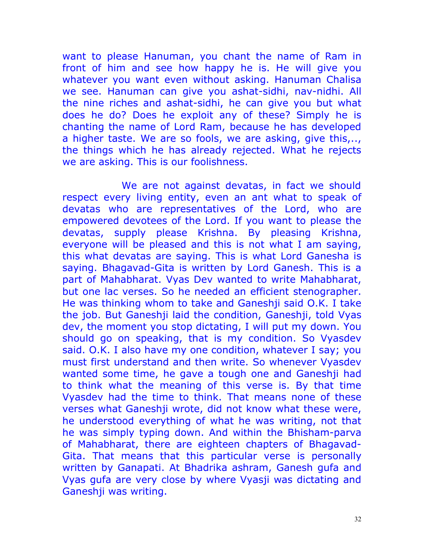want to please Hanuman, you chant the name of Ram in front of him and see how happy he is. He will give you whatever you want even without asking. Hanuman Chalisa we see. Hanuman can give you ashat-sidhi, nav-nidhi. All the nine riches and ashat-sidhi, he can give you but what does he do? Does he exploit any of these? Simply he is chanting the name of Lord Ram, because he has developed a higher taste. We are so fools, we are asking, give this,.., the things which he has already rejected. What he rejects we are asking. This is our foolishness.

 We are not against devatas, in fact we should respect every living entity, even an ant what to speak of devatas who are representatives of the Lord, who are empowered devotees of the Lord. If you want to please the devatas, supply please Krishna. By pleasing Krishna, everyone will be pleased and this is not what I am saying, this what devatas are saying. This is what Lord Ganesha is saying. Bhagavad-Gita is written by Lord Ganesh. This is a part of Mahabharat. Vyas Dev wanted to write Mahabharat, but one lac verses. So he needed an efficient stenographer. He was thinking whom to take and Ganeshji said O.K. I take the job. But Ganeshji laid the condition, Ganeshji, told Vyas dev, the moment you stop dictating, I will put my down. You should go on speaking, that is my condition. So Vyasdev said. O.K. I also have my one condition, whatever I say; you must first understand and then write. So whenever Vyasdev wanted some time, he gave a tough one and Ganeshji had to think what the meaning of this verse is. By that time Vyasdev had the time to think. That means none of these verses what Ganeshji wrote, did not know what these were, he understood everything of what he was writing, not that he was simply typing down. And within the Bhisham-parva of Mahabharat, there are eighteen chapters of Bhagavad-Gita. That means that this particular verse is personally written by Ganapati. At Bhadrika ashram, Ganesh gufa and Vyas gufa are very close by where Vyasji was dictating and Ganeshji was writing.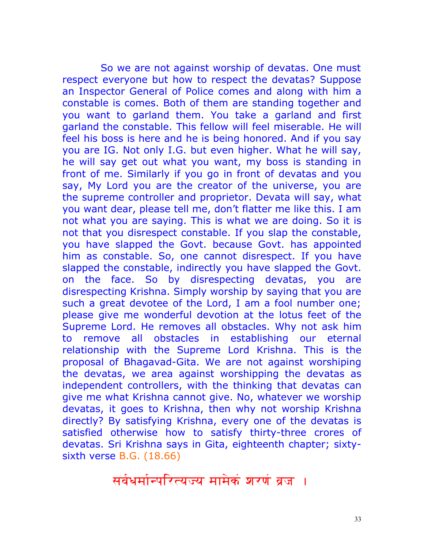So we are not against worship of devatas. One must respect everyone but how to respect the devatas? Suppose an Inspector General of Police comes and along with him a constable is comes. Both of them are standing together and you want to garland them. You take a garland and first garland the constable. This fellow will feel miserable. He will feel his boss is here and he is being honored. And if you say you are IG. Not only I.G. but even higher. What he will say, he will say get out what you want, my boss is standing in front of me. Similarly if you go in front of devatas and you say, My Lord you are the creator of the universe, you are the supreme controller and proprietor. Devata will say, what you want dear, please tell me, don't flatter me like this. I am not what you are saying. This is what we are doing. So it is not that you disrespect constable. If you slap the constable, you have slapped the Govt. because Govt. has appointed him as constable. So, one cannot disrespect. If you have slapped the constable, indirectly you have slapped the Govt. on the face. So by disrespecting devatas, you are disrespecting Krishna. Simply worship by saying that you are such a great devotee of the Lord, I am a fool number one; please give me wonderful devotion at the lotus feet of the Supreme Lord. He removes all obstacles. Why not ask him to remove all obstacles in establishing our eternal relationship with the Supreme Lord Krishna. This is the proposal of Bhagavad-Gita. We are not against worshiping the devatas, we area against worshipping the devatas as independent controllers, with the thinking that devatas can give me what Krishna cannot give. No, whatever we worship devatas, it goes to Krishna, then why not worship Krishna directly? By satisfying Krishna, every one of the devatas is satisfied otherwise how to satisfy thirty-three crores of devatas. Sri Krishna says in Gita, eighteenth chapter; sixtysixth verse B.G. (18.66)

सर्वधर्मान्परित्यज्य मामेकं शरणं व्रज: ।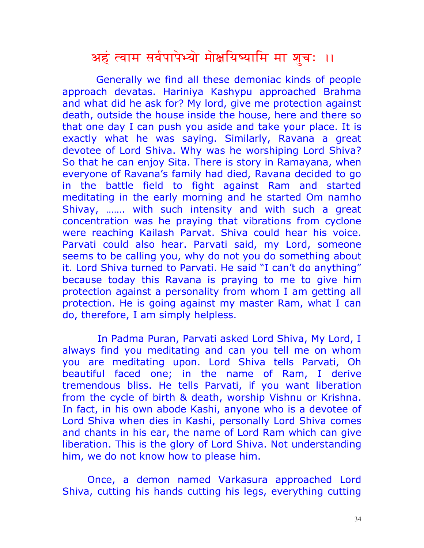#### अहं त्वाम सर्वपापेभ्यो मोक्षयिष्यामि मा शुचः ॥

 Generally we find all these demoniac kinds of people approach devatas. Hariniya Kashypu approached Brahma and what did he ask for? My lord, give me protection against death, outside the house inside the house, here and there so that one day I can push you aside and take your place. It is exactly what he was saying. Similarly, Ravana a great devotee of Lord Shiva. Why was he worshiping Lord Shiva? So that he can enjoy Sita. There is story in Ramayana, when everyone of Ravana's family had died, Ravana decided to go in the battle field to fight against Ram and started meditating in the early morning and he started Om namho Shivay, ……. with such intensity and with such a great concentration was he praying that vibrations from cyclone were reaching Kailash Parvat. Shiva could hear his voice. Parvati could also hear. Parvati said, my Lord, someone seems to be calling you, why do not you do something about it. Lord Shiva turned to Parvati. He said "I can't do anything" because today this Ravana is praying to me to give him protection against a personality from whom I am getting all protection. He is going against my master Ram, what I can do, therefore, I am simply helpless.

 In Padma Puran, Parvati asked Lord Shiva, My Lord, I always find you meditating and can you tell me on whom you are meditating upon. Lord Shiva tells Parvati, Oh beautiful faced one; in the name of Ram, I derive tremendous bliss. He tells Parvati, if you want liberation from the cycle of birth & death, worship Vishnu or Krishna. In fact, in his own abode Kashi, anyone who is a devotee of Lord Shiva when dies in Kashi, personally Lord Shiva comes and chants in his ear, the name of Lord Ram which can give liberation. This is the glory of Lord Shiva. Not understanding him, we do not know how to please him.

Once, a demon named Varkasura approached Lord Shiva, cutting his hands cutting his legs, everything cutting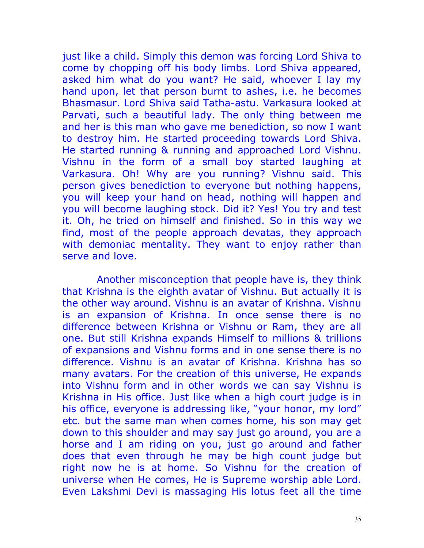just like a child. Simply this demon was forcing Lord Shiva to come by chopping off his body limbs. Lord Shiva appeared, asked him what do you want? He said, whoever I lay my hand upon, let that person burnt to ashes, i.e. he becomes Bhasmasur. Lord Shiva said Tatha-astu. Varkasura looked at Parvati, such a beautiful lady. The only thing between me and her is this man who gave me benediction, so now I want to destroy him. He started proceeding towards Lord Shiva. He started running & running and approached Lord Vishnu. Vishnu in the form of a small boy started laughing at Varkasura. Oh! Why are you running? Vishnu said. This person gives benediction to everyone but nothing happens, you will keep your hand on head, nothing will happen and you will become laughing stock. Did it? Yes! You try and test it. Oh, he tried on himself and finished. So in this way we find, most of the people approach devatas, they approach with demoniac mentality. They want to enjoy rather than serve and love.

 Another misconception that people have is, they think that Krishna is the eighth avatar of Vishnu. But actually it is the other way around. Vishnu is an avatar of Krishna. Vishnu is an expansion of Krishna. In once sense there is no difference between Krishna or Vishnu or Ram, they are all one. But still Krishna expands Himself to millions & trillions of expansions and Vishnu forms and in one sense there is no difference. Vishnu is an avatar of Krishna. Krishna has so many avatars. For the creation of this universe, He expands into Vishnu form and in other words we can say Vishnu is Krishna in His office. Just like when a high court judge is in his office, everyone is addressing like, "your honor, my lord" etc. but the same man when comes home, his son may get down to this shoulder and may say just go around, you are a horse and I am riding on you, just go around and father does that even through he may be high count judge but right now he is at home. So Vishnu for the creation of universe when He comes, He is Supreme worship able Lord. Even Lakshmi Devi is massaging His lotus feet all the time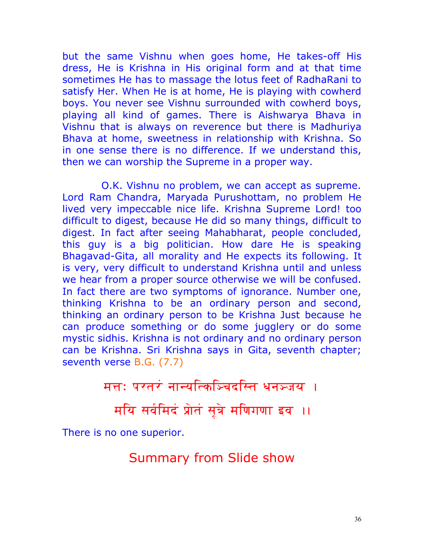but the same Vishnu when goes home, He takes-off His dress, He is Krishna in His original form and at that time sometimes He has to massage the lotus feet of RadhaRani to satisfy Her. When He is at home, He is playing with cowherd boys. You never see Vishnu surrounded with cowherd boys, playing all kind of games. There is Aishwarya Bhava in Vishnu that is always on reverence but there is Madhuriya Bhava at home, sweetness in relationship with Krishna. So in one sense there is no difference. If we understand this, then we can worship the Supreme in a proper way.

 O.K. Vishnu no problem, we can accept as supreme. Lord Ram Chandra, Maryada Purushottam, no problem He lived very impeccable nice life. Krishna Supreme Lord! too difficult to digest, because He did so many things, difficult to digest. In fact after seeing Mahabharat, people concluded, this guy is a big politician. How dare He is speaking Bhagavad-Gita, all morality and He expects its following. It is very, very difficult to understand Krishna until and unless we hear from a proper source otherwise we will be confused. In fact there are two symptoms of ignorance. Number one, thinking Krishna to be an ordinary person and second, thinking an ordinary person to be Krishna Just because he can produce something or do some jugglery or do some mystic sidhis. Krishna is not ordinary and no ordinary person can be Krishna. Sri Krishna says in Gita, seventh chapter; seventh verse B.G. (7.7)

मत्तः परतरं नान्यत्किञ्चिदस्ति धनञ्जय ।

मयि सर्वमिदं प्रोतं सूत्रे मणिगणा इव ।।

There is no one superior.

Summary from Slide show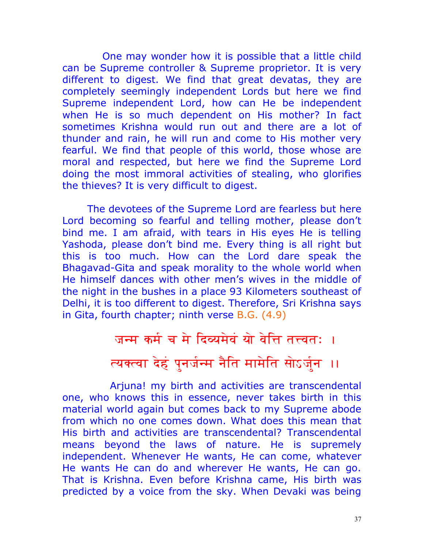One may wonder how it is possible that a little child can be Supreme controller & Supreme proprietor. It is very different to digest. We find that great devatas, they are completely seemingly independent Lords but here we find Supreme independent Lord, how can He be independent when He is so much dependent on His mother? In fact sometimes Krishna would run out and there are a lot of thunder and rain, he will run and come to His mother very fearful. We find that people of this world, those whose are moral and respected, but here we find the Supreme Lord doing the most immoral activities of stealing, who glorifies the thieves? It is very difficult to digest.

The devotees of the Supreme Lord are fearless but here Lord becoming so fearful and telling mother, please don't bind me. I am afraid, with tears in His eyes He is telling Yashoda, please don't bind me. Every thing is all right but this is too much. How can the Lord dare speak the Bhagavad-Gita and speak morality to the whole world when He himself dances with other men's wives in the middle of the night in the bushes in a place 93 Kilometers southeast of Delhi, it is too different to digest. Therefore, Sri Krishna says in Gita, fourth chapter; ninth verse B.G. (4.9)

# जन्म कर्म च मे दिव्यमेवं यो वेत्ति तत्त्वतः । त्यक्त्वा देहं पुनर्जन्म नैति मामेति सोऽर्जुन ।।

 Arjuna! my birth and activities are transcendental one, who knows this in essence, never takes birth in this material world again but comes back to my Supreme abode from which no one comes down. What does this mean that His birth and activities are transcendental? Transcendental means beyond the laws of nature. He is supremely independent. Whenever He wants, He can come, whatever He wants He can do and wherever He wants, He can go. That is Krishna. Even before Krishna came, His birth was predicted by a voice from the sky. When Devaki was being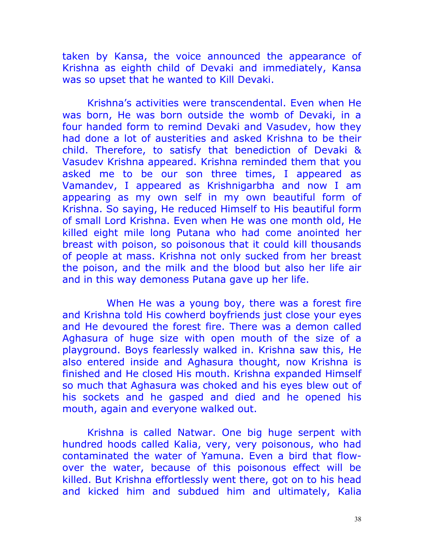taken by Kansa, the voice announced the appearance of Krishna as eighth child of Devaki and immediately, Kansa was so upset that he wanted to Kill Devaki.

Krishna's activities were transcendental. Even when He was born, He was born outside the womb of Devaki, in a four handed form to remind Devaki and Vasudev, how they had done a lot of austerities and asked Krishna to be their child. Therefore, to satisfy that benediction of Devaki & Vasudev Krishna appeared. Krishna reminded them that you asked me to be our son three times, I appeared as Vamandev, I appeared as Krishnigarbha and now I am appearing as my own self in my own beautiful form of Krishna. So saying, He reduced Himself to His beautiful form of small Lord Krishna. Even when He was one month old, He killed eight mile long Putana who had come anointed her breast with poison, so poisonous that it could kill thousands of people at mass. Krishna not only sucked from her breast the poison, and the milk and the blood but also her life air and in this way demoness Putana gave up her life.

 When He was a young boy, there was a forest fire and Krishna told His cowherd boyfriends just close your eyes and He devoured the forest fire. There was a demon called Aghasura of huge size with open mouth of the size of a playground. Boys fearlessly walked in. Krishna saw this, He also entered inside and Aghasura thought, now Krishna is finished and He closed His mouth. Krishna expanded Himself so much that Aghasura was choked and his eyes blew out of his sockets and he gasped and died and he opened his mouth, again and everyone walked out.

Krishna is called Natwar. One big huge serpent with hundred hoods called Kalia, very, very poisonous, who had contaminated the water of Yamuna. Even a bird that flowover the water, because of this poisonous effect will be killed. But Krishna effortlessly went there, got on to his head and kicked him and subdued him and ultimately, Kalia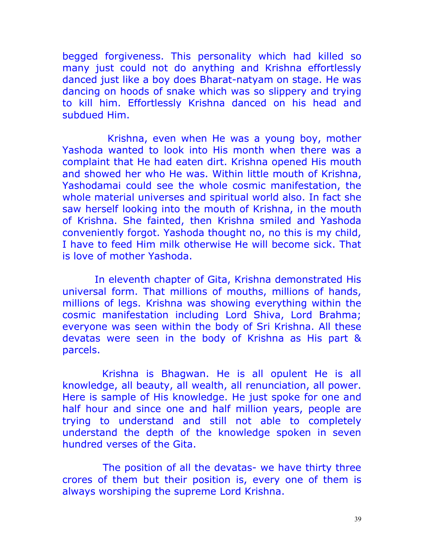begged forgiveness. This personality which had killed so many just could not do anything and Krishna effortlessly danced just like a boy does Bharat-natyam on stage. He was dancing on hoods of snake which was so slippery and trying to kill him. Effortlessly Krishna danced on his head and subdued Him.

 Krishna, even when He was a young boy, mother Yashoda wanted to look into His month when there was a complaint that He had eaten dirt. Krishna opened His mouth and showed her who He was. Within little mouth of Krishna, Yashodamai could see the whole cosmic manifestation, the whole material universes and spiritual world also. In fact she saw herself looking into the mouth of Krishna, in the mouth of Krishna. She fainted, then Krishna smiled and Yashoda conveniently forgot. Yashoda thought no, no this is my child, I have to feed Him milk otherwise He will become sick. That is love of mother Yashoda.

 In eleventh chapter of Gita, Krishna demonstrated His universal form. That millions of mouths, millions of hands, millions of legs. Krishna was showing everything within the cosmic manifestation including Lord Shiva, Lord Brahma; everyone was seen within the body of Sri Krishna. All these devatas were seen in the body of Krishna as His part & parcels.

 Krishna is Bhagwan. He is all opulent He is all knowledge, all beauty, all wealth, all renunciation, all power. Here is sample of His knowledge. He just spoke for one and half hour and since one and half million years, people are trying to understand and still not able to completely understand the depth of the knowledge spoken in seven hundred verses of the Gita.

 The position of all the devatas- we have thirty three crores of them but their position is, every one of them is always worshiping the supreme Lord Krishna.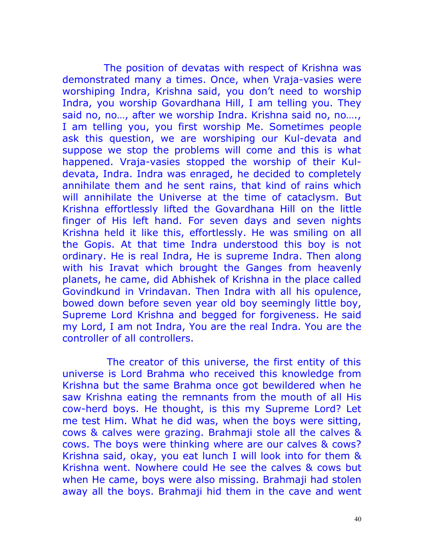The position of devatas with respect of Krishna was demonstrated many a times. Once, when Vraja-vasies were worshiping Indra, Krishna said, you don't need to worship Indra, you worship Govardhana Hill, I am telling you. They said no, no…, after we worship Indra. Krishna said no, no…., I am telling you, you first worship Me. Sometimes people ask this question, we are worshiping our Kul-devata and suppose we stop the problems will come and this is what happened. Vraja-vasies stopped the worship of their Kuldevata, Indra. Indra was enraged, he decided to completely annihilate them and he sent rains, that kind of rains which will annihilate the Universe at the time of cataclysm. But Krishna effortlessly lifted the Govardhana Hill on the little finger of His left hand. For seven days and seven nights Krishna held it like this, effortlessly. He was smiling on all the Gopis. At that time Indra understood this boy is not ordinary. He is real Indra, He is supreme Indra. Then along with his Iravat which brought the Ganges from heavenly planets, he came, did Abhishek of Krishna in the place called Govindkund in Vrindavan. Then Indra with all his opulence, bowed down before seven year old boy seemingly little boy, Supreme Lord Krishna and begged for forgiveness. He said my Lord, I am not Indra, You are the real Indra. You are the controller of all controllers.

 The creator of this universe, the first entity of this universe is Lord Brahma who received this knowledge from Krishna but the same Brahma once got bewildered when he saw Krishna eating the remnants from the mouth of all His cow-herd boys. He thought, is this my Supreme Lord? Let me test Him. What he did was, when the boys were sitting, cows & calves were grazing. Brahmaji stole all the calves & cows. The boys were thinking where are our calves & cows? Krishna said, okay, you eat lunch I will look into for them & Krishna went. Nowhere could He see the calves & cows but when He came, boys were also missing. Brahmaji had stolen away all the boys. Brahmaji hid them in the cave and went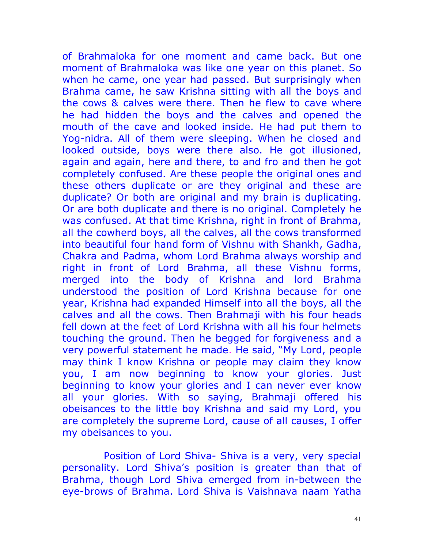of Brahmaloka for one moment and came back. But one moment of Brahmaloka was like one year on this planet. So when he came, one year had passed. But surprisingly when Brahma came, he saw Krishna sitting with all the boys and the cows & calves were there. Then he flew to cave where he had hidden the boys and the calves and opened the mouth of the cave and looked inside. He had put them to Yog-nidra. All of them were sleeping. When he closed and looked outside, boys were there also. He got illusioned, again and again, here and there, to and fro and then he got completely confused. Are these people the original ones and these others duplicate or are they original and these are duplicate? Or both are original and my brain is duplicating. Or are both duplicate and there is no original. Completely he was confused. At that time Krishna, right in front of Brahma, all the cowherd boys, all the calves, all the cows transformed into beautiful four hand form of Vishnu with Shankh, Gadha, Chakra and Padma, whom Lord Brahma always worship and right in front of Lord Brahma, all these Vishnu forms, merged into the body of Krishna and lord Brahma understood the position of Lord Krishna because for one year, Krishna had expanded Himself into all the boys, all the calves and all the cows. Then Brahmaji with his four heads fell down at the feet of Lord Krishna with all his four helmets touching the ground. Then he begged for forgiveness and a very powerful statement he made. He said, "My Lord, people may think I know Krishna or people may claim they know you, I am now beginning to know your glories. Just beginning to know your glories and I can never ever know all your glories. With so saying, Brahmaji offered his obeisances to the little boy Krishna and said my Lord, you are completely the supreme Lord, cause of all causes, I offer my obeisances to you.

 Position of Lord Shiva- Shiva is a very, very special personality. Lord Shiva's position is greater than that of Brahma, though Lord Shiva emerged from in-between the eye-brows of Brahma. Lord Shiva is Vaishnava naam Yatha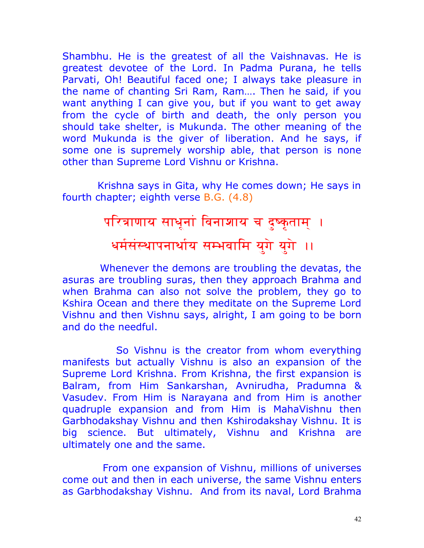Shambhu. He is the greatest of all the Vaishnavas. He is greatest devotee of the Lord. In Padma Purana, he tells Parvati, Oh! Beautiful faced one; I always take pleasure in the name of chanting Sri Ram, Ram…. Then he said, if you want anything I can give you, but if you want to get away from the cycle of birth and death, the only person you should take shelter, is Mukunda. The other meaning of the word Mukunda is the giver of liberation. And he says, if some one is supremely worship able, that person is none other than Supreme Lord Vishnu or Krishna.

 Krishna says in Gita, why He comes down; He says in fourth chapter; eighth verse B.G. (4.8)

# परित्राणाय साधूनां विनाशाय च दुष्कृताम् । धर्मसंस्थापनार्थाय सम्भवामि युगे युगे ।।

 Whenever the demons are troubling the devatas, the asuras are troubling suras, then they approach Brahma and when Brahma can also not solve the problem, they go to Kshira Ocean and there they meditate on the Supreme Lord Vishnu and then Vishnu says, alright, I am going to be born and do the needful.

 So Vishnu is the creator from whom everything manifests but actually Vishnu is also an expansion of the Supreme Lord Krishna. From Krishna, the first expansion is Balram, from Him Sankarshan, Avnirudha, Pradumna & Vasudev. From Him is Narayana and from Him is another quadruple expansion and from Him is MahaVishnu then Garbhodakshay Vishnu and then Kshirodakshay Vishnu. It is big science. But ultimately, Vishnu and Krishna are ultimately one and the same.

 From one expansion of Vishnu, millions of universes come out and then in each universe, the same Vishnu enters as Garbhodakshay Vishnu. And from its naval, Lord Brahma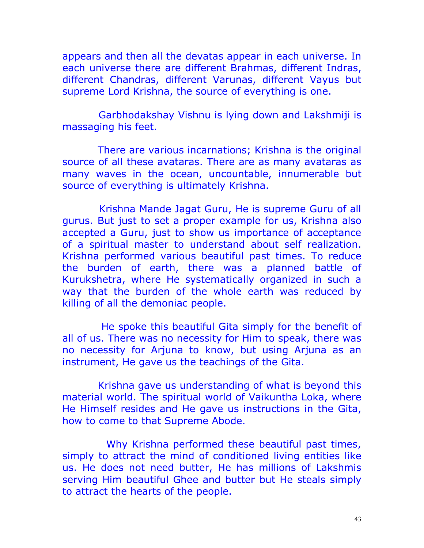appears and then all the devatas appear in each universe. In each universe there are different Brahmas, different Indras, different Chandras, different Varunas, different Vayus but supreme Lord Krishna, the source of everything is one.

 Garbhodakshay Vishnu is lying down and Lakshmiji is massaging his feet.

 There are various incarnations; Krishna is the original source of all these avataras. There are as many avataras as many waves in the ocean, uncountable, innumerable but source of everything is ultimately Krishna.

 Krishna Mande Jagat Guru, He is supreme Guru of all gurus. But just to set a proper example for us, Krishna also accepted a Guru, just to show us importance of acceptance of a spiritual master to understand about self realization. Krishna performed various beautiful past times. To reduce the burden of earth, there was a planned battle of Kurukshetra, where He systematically organized in such a way that the burden of the whole earth was reduced by killing of all the demoniac people.

 He spoke this beautiful Gita simply for the benefit of all of us. There was no necessity for Him to speak, there was no necessity for Arjuna to know, but using Arjuna as an instrument, He gave us the teachings of the Gita.

 Krishna gave us understanding of what is beyond this material world. The spiritual world of Vaikuntha Loka, where He Himself resides and He gave us instructions in the Gita, how to come to that Supreme Abode.

 Why Krishna performed these beautiful past times, simply to attract the mind of conditioned living entities like us. He does not need butter, He has millions of Lakshmis serving Him beautiful Ghee and butter but He steals simply to attract the hearts of the people.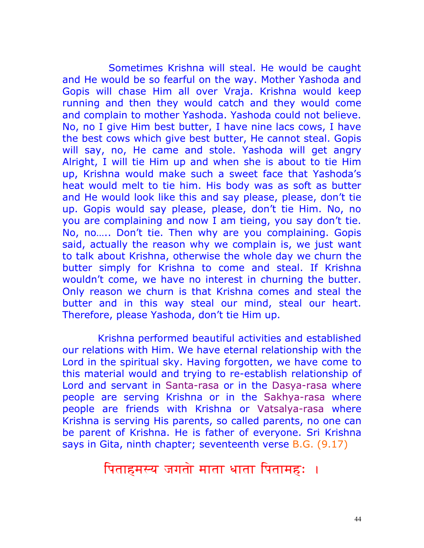Sometimes Krishna will steal. He would be caught and He would be so fearful on the way. Mother Yashoda and Gopis will chase Him all over Vraja. Krishna would keep running and then they would catch and they would come and complain to mother Yashoda. Yashoda could not believe. No, no I give Him best butter, I have nine lacs cows, I have the best cows which give best butter, He cannot steal. Gopis will say, no, He came and stole. Yashoda will get angry Alright, I will tie Him up and when she is about to tie Him up, Krishna would make such a sweet face that Yashoda's heat would melt to tie him. His body was as soft as butter and He would look like this and say please, please, don't tie up. Gopis would say please, please, don't tie Him. No, no you are complaining and now I am tieing, you say don't tie. No, no….. Don't tie. Then why are you complaining. Gopis said, actually the reason why we complain is, we just want to talk about Krishna, otherwise the whole day we churn the butter simply for Krishna to come and steal. If Krishna wouldn't come, we have no interest in churning the butter. Only reason we churn is that Krishna comes and steal the butter and in this way steal our mind, steal our heart. Therefore, please Yashoda, don't tie Him up.

 Krishna performed beautiful activities and established our relations with Him. We have eternal relationship with the Lord in the spiritual sky. Having forgotten, we have come to this material would and trying to re-establish relationship of Lord and servant in Santa-rasa or in the Dasya-rasa where people are serving Krishna or in the Sakhya-rasa where people are friends with Krishna or Vatsalya-rasa where Krishna is serving His parents, so called parents, no one can be parent of Krishna. He is father of everyone. Sri Krishna says in Gita, ninth chapter; seventeenth verse B.G. (9.17)

#### पिताहमस्य जगतो माता धाता पितामहः ।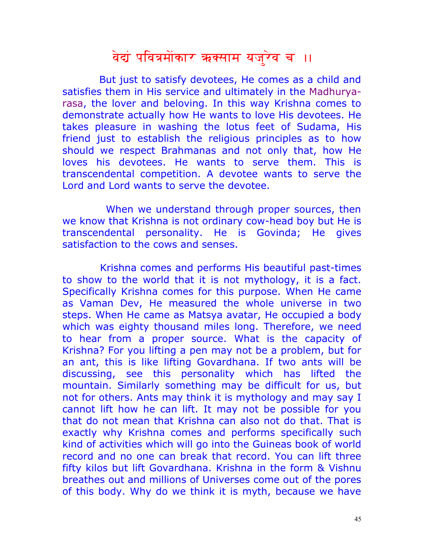# वेद्यं पवित्रमोंकार ऋक्साम यजुरेव च ।।

 But just to satisfy devotees, He comes as a child and satisfies them in His service and ultimately in the Madhuryarasa, the lover and beloving. In this way Krishna comes to demonstrate actually how He wants to love His devotees. He takes pleasure in washing the lotus feet of Sudama, His friend just to establish the religious principles as to how should we respect Brahmanas and not only that, how He loves his devotees. He wants to serve them. This is transcendental competition. A devotee wants to serve the Lord and Lord wants to serve the devotee.

 When we understand through proper sources, then we know that Krishna is not ordinary cow-head boy but He is transcendental personality. He is Govinda; He gives satisfaction to the cows and senses.

 Krishna comes and performs His beautiful past-times to show to the world that it is not mythology, it is a fact. Specifically Krishna comes for this purpose. When He came as Vaman Dev, He measured the whole universe in two steps. When He came as Matsya avatar, He occupied a body which was eighty thousand miles long. Therefore, we need to hear from a proper source. What is the capacity of Krishna? For you lifting a pen may not be a problem, but for an ant, this is like lifting Govardhana. If two ants will be discussing, see this personality which has lifted the mountain. Similarly something may be difficult for us, but not for others. Ants may think it is mythology and may say I cannot lift how he can lift. It may not be possible for you that do not mean that Krishna can also not do that. That is exactly why Krishna comes and performs specifically such kind of activities which will go into the Guineas book of world record and no one can break that record. You can lift three fifty kilos but lift Govardhana. Krishna in the form & Vishnu breathes out and millions of Universes come out of the pores of this body. Why do we think it is myth, because we have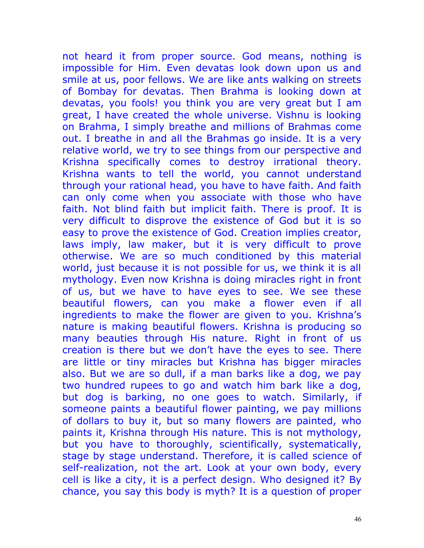not heard it from proper source. God means, nothing is impossible for Him. Even devatas look down upon us and smile at us, poor fellows. We are like ants walking on streets of Bombay for devatas. Then Brahma is looking down at devatas, you fools! you think you are very great but I am great, I have created the whole universe. Vishnu is looking on Brahma, I simply breathe and millions of Brahmas come out. I breathe in and all the Brahmas go inside. It is a very relative world, we try to see things from our perspective and Krishna specifically comes to destroy irrational theory. Krishna wants to tell the world, you cannot understand through your rational head, you have to have faith. And faith can only come when you associate with those who have faith. Not blind faith but implicit faith. There is proof. It is very difficult to disprove the existence of God but it is so easy to prove the existence of God. Creation implies creator, laws imply, law maker, but it is very difficult to prove otherwise. We are so much conditioned by this material world, just because it is not possible for us, we think it is all mythology. Even now Krishna is doing miracles right in front of us, but we have to have eyes to see. We see these beautiful flowers, can you make a flower even if all ingredients to make the flower are given to you. Krishna's nature is making beautiful flowers. Krishna is producing so many beauties through His nature. Right in front of us creation is there but we don't have the eyes to see. There are little or tiny miracles but Krishna has bigger miracles also. But we are so dull, if a man barks like a dog, we pay two hundred rupees to go and watch him bark like a dog, but dog is barking, no one goes to watch. Similarly, if someone paints a beautiful flower painting, we pay millions of dollars to buy it, but so many flowers are painted, who paints it, Krishna through His nature. This is not mythology, but you have to thoroughly, scientifically, systematically, stage by stage understand. Therefore, it is called science of self-realization, not the art. Look at your own body, every cell is like a city, it is a perfect design. Who designed it? By chance, you say this body is myth? It is a question of proper